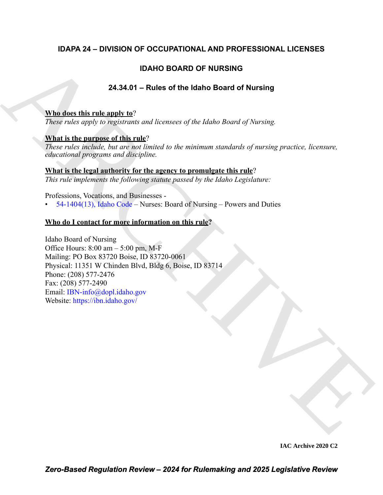### **IDAPA 24 – DIVISION OF OCCUPATIONAL AND PROFESSIONAL LICENSES**

### **IDAHO BOARD OF NURSING**

### **24.34.01 – Rules of the Idaho Board of Nursing**

### **Who does this rule apply to**?

*These rules apply to registrants and licensees of the Idaho Board of Nursing.*

### **What is the purpose of this rule**?

*These rules include, but are not limited to the minimum standards of nursing practice, licensure, educational programs and discipline.*

### **What is the legal authority for the agency to promulgate this rule**?

*This rule implements the following statute passed by the Idaho Legislature:*

Professions, Vocations, and Businesses -

• 54-1404(13), Idaho Code – Nurses: Board of Nursing – Powers and Duties

### **Who do I contact for more information on this rule?**

**DAHO BOARD OF NURSING**<br>
24.34.01 - Rules of the Idaho Board of Nursing<br>
The decretistic apply to regular and incenses of the Idaho Board of Nursing<br>
Xina is the particular and increase the relations<sup>1</sup><br>
There is the stra Idaho Board of Nursing Office Hours:  $8:00 \text{ am} - 5:00 \text{ pm}$ , M-F Mailing: PO Box 83720 Boise, ID 83720-0061 Physical: 11351 W Chinden Blvd, Bldg 6, Boise, ID 83714 Phone: (208) 577-2476 Fax: (208) 577-2490 Email: IBN-info@dopl.idaho.gov Website: https://ibn.idaho.gov/

**IAC Archive 2020 C2**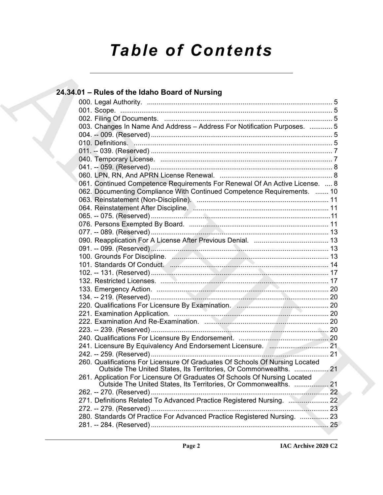# *Table of Contents*

| 24.34.01 - Rules of the Idaho Board of Nursing                                                                                                    |  |
|---------------------------------------------------------------------------------------------------------------------------------------------------|--|
|                                                                                                                                                   |  |
|                                                                                                                                                   |  |
|                                                                                                                                                   |  |
| 003. Changes In Name And Address - Address For Notification Purposes.  5                                                                          |  |
|                                                                                                                                                   |  |
|                                                                                                                                                   |  |
|                                                                                                                                                   |  |
|                                                                                                                                                   |  |
|                                                                                                                                                   |  |
|                                                                                                                                                   |  |
| 061. Continued Competence Requirements For Renewal Of An Active License.  8                                                                       |  |
| 062. Documenting Compliance With Continued Competence Requirements.  10                                                                           |  |
|                                                                                                                                                   |  |
|                                                                                                                                                   |  |
|                                                                                                                                                   |  |
|                                                                                                                                                   |  |
|                                                                                                                                                   |  |
|                                                                                                                                                   |  |
|                                                                                                                                                   |  |
| 100. Grounds For Discipline. Annual Albert Manusch and Table 13                                                                                   |  |
|                                                                                                                                                   |  |
|                                                                                                                                                   |  |
|                                                                                                                                                   |  |
|                                                                                                                                                   |  |
|                                                                                                                                                   |  |
|                                                                                                                                                   |  |
|                                                                                                                                                   |  |
|                                                                                                                                                   |  |
|                                                                                                                                                   |  |
|                                                                                                                                                   |  |
|                                                                                                                                                   |  |
|                                                                                                                                                   |  |
| 260. Qualifications For Licensure Of Graduates Of Schools Of Nursing Located<br>Outside The United States, Its Territories, Or Commonwealths.  21 |  |
| 261. Application For Licensure Of Graduates Of Schools Of Nursing Located<br>Outside The United States, Its Territories, Or Commonwealths. 21     |  |
|                                                                                                                                                   |  |
| 271. Definitions Related To Advanced Practice Registered Nursing. 2020. 22                                                                        |  |
|                                                                                                                                                   |  |
| 280. Standards Of Practice For Advanced Practice Registered Nursing.  23                                                                          |  |
|                                                                                                                                                   |  |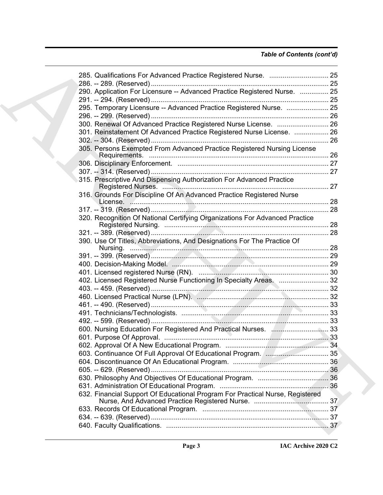### *Table of Contents (cont'd)*

| 290. Application For Licensure -- Advanced Practice Registered Nurse.  25     |  |
|-------------------------------------------------------------------------------|--|
| 295. Temporary Licensure -- Advanced Practice Registered Nurse.  25           |  |
|                                                                               |  |
|                                                                               |  |
| 300. Renewal Of Advanced Practice Registered Nurse License.  26               |  |
| 301. Reinstatement Of Advanced Practice Registered Nurse License.  26         |  |
|                                                                               |  |
| 305. Persons Exempted From Advanced Practice Registered Nursing License       |  |
|                                                                               |  |
|                                                                               |  |
| 315. Prescriptive And Dispensing Authorization For Advanced Practice          |  |
|                                                                               |  |
| 316. Grounds For Discipline Of An Advanced Practice Registered Nurse          |  |
|                                                                               |  |
|                                                                               |  |
| 320. Recognition Of National Certifying Organizations For Advanced Practice   |  |
|                                                                               |  |
| 390. Use Of Titles, Abbreviations, And Designations For The Practice Of       |  |
|                                                                               |  |
|                                                                               |  |
|                                                                               |  |
|                                                                               |  |
| 402. Licensed Registered Nurse Functioning In Specialty Areas.  32            |  |
|                                                                               |  |
|                                                                               |  |
|                                                                               |  |
|                                                                               |  |
|                                                                               |  |
| 600. Nursing Education For Registered And Practical Nurses.  33               |  |
|                                                                               |  |
|                                                                               |  |
|                                                                               |  |
|                                                                               |  |
|                                                                               |  |
|                                                                               |  |
|                                                                               |  |
|                                                                               |  |
| 632. Financial Support Of Educational Program For Practical Nurse, Registered |  |
|                                                                               |  |
|                                                                               |  |
|                                                                               |  |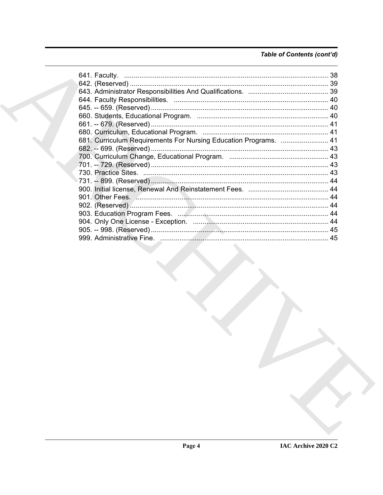### Table of Contents (cont'd)

|  | 681. Curriculum Requirements For Nursing Education Programs.  41                |  |
|--|---------------------------------------------------------------------------------|--|
|  |                                                                                 |  |
|  |                                                                                 |  |
|  |                                                                                 |  |
|  |                                                                                 |  |
|  |                                                                                 |  |
|  |                                                                                 |  |
|  |                                                                                 |  |
|  |                                                                                 |  |
|  |                                                                                 |  |
|  |                                                                                 |  |
|  |                                                                                 |  |
|  |                                                                                 |  |
|  | the contract of the contract of the contract of the contract of the contract of |  |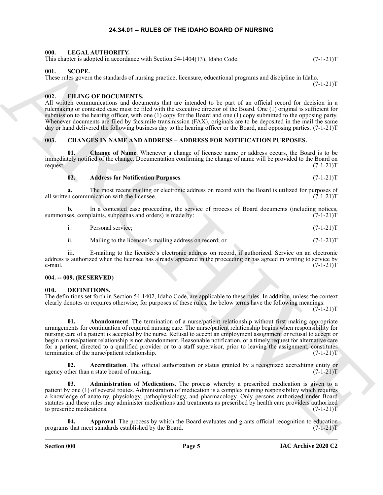#### **24.34.01 – RULES OF THE IDAHO BOARD OF NURSING**

#### <span id="page-4-16"></span><span id="page-4-1"></span><span id="page-4-0"></span>**000. LEGAL AUTHORITY.**

This chapter is adopted in accordance with Section  $54-1404(13)$ , Idaho Code.  $(7-1-21)T$ 

#### <span id="page-4-17"></span><span id="page-4-2"></span>**001. SCOPE.**

These rules govern the standards of nursing practice, licensure, educational programs and discipline in Idaho.

<span id="page-4-15"></span><span id="page-4-3"></span>**002. FILING OF DOCUMENTS.**

All written communications and documents that are intended to be part of an official record for decision in a rulemaking or contested case must be filed with the executive director of the Board. One (1) original is sufficient for submission to the hearing officer, with one (1) copy for the Board and one (1) copy submitted to the opposing party. Whenever documents are filed by facsimile transmission (FAX), originals are to be deposited in the mail the same day or hand delivered the following business day to the hearing officer or the Board, and opposing parties. (7-1-21)T

#### <span id="page-4-7"></span><span id="page-4-4"></span>**003. CHANGES IN NAME AND ADDRESS – ADDRESS FOR NOTIFICATION PURPOSES.**

**01. Change of Name**. Whenever a change of licensee name or address occurs, the Board is to be immediately notified of the change. Documentation confirming the change of name will be provided to the Board on request.  $(7-1-21)T$ request. (7-1-21)T

#### <span id="page-4-9"></span><span id="page-4-8"></span>**02. Address for Notification Purposes**. (7-1-21)T

**a.** The most recent mailing or electronic address on record with the Board is utilized for purposes of in communication with the licensee.  $(7-1-21)$ all written communication with the licensee.

**b.** In a contested case proceeding, the service of process of Board documents (including notices, ses, complaints, subpoenas and orders) is made by:  $(7-1-21)$ summonses, complaints, subpoenas and orders) is made by:

i. Personal service; (7-1-21)T

ii. Mailing to the licensee's mailing address on record; or  $(7-1-21)T$ 

iii. E-mailing to the licensee's electronic address on record, if authorized. Service on an electronic address is authorized when the licensee has already appeared in the proceeding or has agreed in writing to service by e-mail.  $(7-1-21)T$ 

#### <span id="page-4-5"></span>**004. -- 009. (RESERVED)**

#### <span id="page-4-10"></span><span id="page-4-6"></span>**010. DEFINITIONS.**

<span id="page-4-11"></span>The definitions set forth in Section 54-1402, Idaho Code, are applicable to these rules. In addition, unless the context clearly denotes or requires otherwise, for purposes of these rules, the below terms have the following meanings:

 $(7-1-21)T$ 

 $(7-1-21)T$ 

This depends a shorter with Schotn 34-140413), labab Code.<br>
The SCOPE (Fig. 2012).<br>
The SCOPE contribute of the SCOPE contribute of the SCOPE contribute of the SCOPE contribute of the SCOPE contribute of the SCOPE contrib **01. Abandonment**. The termination of a nurse/patient relationship without first making appropriate arrangements for continuation of required nursing care. The nurse/patient relationship begins when responsibility for nursing care of a patient is accepted by the nurse. Refusal to accept an employment assignment or refusal to accept or begin a nurse/patient relationship is not abandonment. Reasonable notification, or a timely request for alternative care for a patient, directed to a qualified provider or to a staff supervisor, prior to leaving the assignment, constitutes termination of the nurse/patient relationship. (7-1-21)T

<span id="page-4-12"></span>**02.** Accreditation. The official authorization or status granted by a recognized accrediting entity or ther than a state board of nursing.  $(7-1-21)T$ agency other than a state board of nursing.

<span id="page-4-13"></span>**03. Administration of Medications**. The process whereby a prescribed medication is given to a patient by one (1) of several routes. Administration of medication is a complex nursing responsibility which requires a knowledge of anatomy, physiology, pathophysiology, and pharmacology. Only persons authorized under Board statutes and these rules may administer medications and treatments as prescribed by health care providers authorized<br>to prescribe medications. (7-1-21)T to prescribe medications.

<span id="page-4-14"></span>**04. Approval**. The process by which the Board evaluates and grants official recognition to education programs that meet standards established by the Board. (7-1-21)T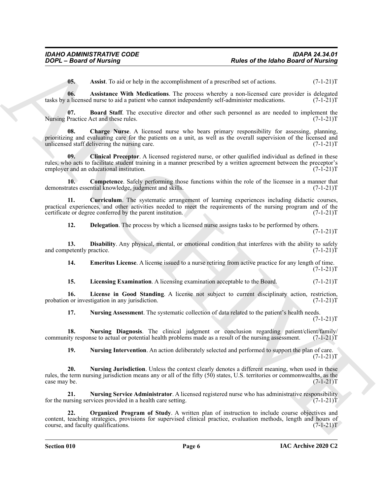<span id="page-5-2"></span><span id="page-5-1"></span><span id="page-5-0"></span>**05.** Assist. To aid or help in the accomplishment of a prescribed set of actions. (7-1-21)T

**06. Assistance With Medications**. The process whereby a non-licensed care provider is delegated tasks by a licensed nurse to aid a patient who cannot independently self-administer medications. (7-1-21)T

**07. Board Staff**. The executive director and other such personnel as are needed to implement the Practice Act and these rules. (7-1-21)T Nursing Practice Act and these rules.

<span id="page-5-4"></span><span id="page-5-3"></span>**Charge Nurse**. A licensed nurse who bears primary responsibility for assessing, planning, prioritizing and evaluating care for the patients on a unit, as well as the overall supervision of the licensed and unlicensed staff delivering the nursing care. (7-1-21)T unlicensed staff delivering the nursing care.

**Park of the latino Basic of the latino Basic of the latino Basic of Park Distributed Control and the latino Basic of National ARCHIVES (1974)<br>
16. Analysis and a park of the process integration and processive of the cont 09. Clinical Preceptor**. A licensed registered nurse, or other qualified individual as defined in these rules, who acts to facilitate student training in a manner prescribed by a written agreement between the preceptor's employer and an educational institution. (7-1-21)T

<span id="page-5-5"></span>**10. Competence**. Safely performing those functions within the role of the licensee in a manner that demonstrates essential knowledge, judgment and skills. (7-1-21)T

**11. Curriculum**. The systematic arrangement of learning experiences including didactic courses, practical experiences, and other activities needed to meet the requirements of the nursing program and of the certificate or degree conferred by the parent institution. (7-1-21) certificate or degree conferred by the parent institution.

<span id="page-5-8"></span><span id="page-5-7"></span><span id="page-5-6"></span>**12. Delegation**. The process by which a licensed nurse assigns tasks to be performed by others.  $(7-1-21)T$ 

**13. Disability**. Any physical, mental, or emotional condition that interferes with the ability to safely petently practice. (7-1-21) and competently practice.

<span id="page-5-9"></span>**14. Emeritus License**. A license issued to a nurse retiring from active practice for any length of time.  $(7-1-21)T$ 

<span id="page-5-11"></span><span id="page-5-10"></span>**15. Licensing Examination**. A licensing examination acceptable to the Board. (7-1-21)T

**16.** License in Good Standing. A license not subject to current disciplinary action, restriction, nor investigation in any jurisdiction. (7-1-21) probation or investigation in any jurisdiction.

<span id="page-5-13"></span><span id="page-5-12"></span>**17. Nursing Assessment**. The systematic collection of data related to the patient's health needs.  $(7-1-21)T$ 

**18. Nursing Diagnosis**. The clinical judgment or conclusion regarding patient/client/family/ community response to actual or potential health problems made as a result of the nursing assessment. (7-1-21)T

<span id="page-5-16"></span><span id="page-5-15"></span><span id="page-5-14"></span>**19. Nursing Intervention**. An action deliberately selected and performed to support the plan of care.  $(7-1-21)T$ 

**20. Nursing Jurisdiction**. Unless the context clearly denotes a different meaning, when used in these rules, the term nursing jurisdiction means any or all of the fifty  $(50)$  states, U.S. territories or commonwealths, as the case may be.  $(7-1-21)T$ case may be.

**21. Nursing Service Administrator**. A licensed registered nurse who has administrative responsibility for the nursing services provided in a health care setting.

<span id="page-5-17"></span>**22. Organized Program of Study**. A written plan of instruction to include course objectives and content, teaching strategies, provisions for supervised clinical practice, evaluation methods, length and hours of course, and faculty qualifications. (7-1-21) course, and faculty qualifications.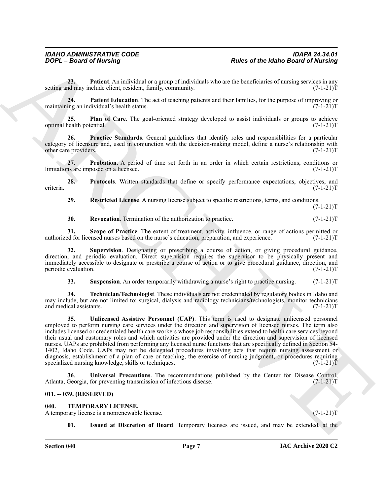<span id="page-6-3"></span>**23. Patient**. An individual or a group of individuals who are the beneficiaries of nursing services in any include client, resident, family, community. setting and may include client, resident, family, community.

<span id="page-6-2"></span>**24. Patient Education**. The act of teaching patients and their families, for the purpose of improving or ing an individual's health status. (7-1-21) maintaining an individual's health status.

<span id="page-6-4"></span>**25. Plan of Care**. The goal-oriented strategy developed to assist individuals or groups to achieve realth potential. (7-1-21)T optimal health potential.

<span id="page-6-5"></span>**26. Practice Standards**. General guidelines that identify roles and responsibilities for a particular category of licensure and, used in conjunction with the decision-making model, define a nurse's relationship with other care providers. (7-1-21) other care providers.

<span id="page-6-6"></span>**27. Probation**. A period of time set forth in an order in which certain restrictions, conditions or ns are imposed on a licensee.  $(7-1-21)T$ limitations are imposed on a licensee.

**28. Protocols**. Written standards that define or specify performance expectations, objectives, and criteria. (7-1-21)T

<span id="page-6-8"></span><span id="page-6-7"></span>**29. Restricted License**. A nursing license subject to specific restrictions, terms, and conditions.  $(7-1-21)T$ 

<span id="page-6-11"></span><span id="page-6-10"></span><span id="page-6-9"></span>**30. Revocation**. Termination of the authorization to practice. (7-1-21)T

**31.** Scope of Practice. The extent of treatment, activity, influence, or range of actions permitted or ed for licensed nurses based on the nurse's education, preparation, and experience. (7-1-21)<sup>T</sup> authorized for licensed nurses based on the nurse's education, preparation, and experience.

**32. Supervision**. Designating or prescribing a course of action, or giving procedural guidance, direction, and periodic evaluation. Direct supervision requires the supervisor to be physically present and immediately accessible to designate or prescribe a course of action or to give procedural guidance, direction, and periodic evaluation. (7-1-21) periodic evaluation.

<span id="page-6-14"></span><span id="page-6-13"></span><span id="page-6-12"></span>**33.** Suspension. An order temporarily withdrawing a nurse's right to practice nursing.  $(7-1-21)$ T

**34. Technician/Technologist**. These individuals are not credentialed by regulatory bodies in Idaho and may include, but are not limited to: surgical, dialysis and radiology technicians/technologists, monitor technicians and medical assistants. (7-1-21)T

**Paris of the latterney of the state of the latterney of the state of the latterney contained of Newton Paris (1998)<br>
Archives the state of the state of the state of the state of the state of the state of the state of the 35. Unlicensed Assistive Personnel (UAP)**. This term is used to designate unlicensed personnel employed to perform nursing care services under the direction and supervision of licensed nurses. The term also includes licensed or credentialed health care workers whose job responsibilities extend to health care services beyond their usual and customary roles and which activities are provided under the direction and supervision of licensed nurses. UAPs are prohibited from performing any licensed nurse functions that are specifically defined in Section 54- 1402, Idaho Code. UAPs may not be delegated procedures involving acts that require nursing assessment or diagnosis, establishment of a plan of care or teaching, the exercise of nursing judgment, or procedures requiring specialized nursing knowledge, skills or techniques. (7-1-21)T

**36. Universal Precautions**. The recommendations published by the Center for Disease Control, Georgia, for preventing transmission of infectious disease. (7-1-21) Atlanta, Georgia, for preventing transmission of infectious disease.

#### <span id="page-6-0"></span>**011. -- 039. (RESERVED)**

#### <span id="page-6-15"></span><span id="page-6-1"></span>**040. TEMPORARY LICENSE.**

A temporary license is a nonrenewable license. (7-1-21)T

<span id="page-6-16"></span>**01. Issued at Discretion of Board**. Temporary licenses are issued, and may be extended, at the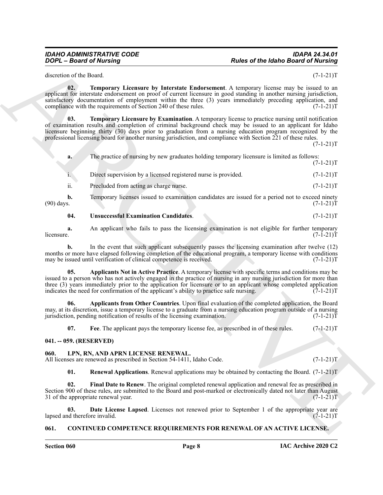discretion of the Board. (7-1-21)T

<span id="page-7-12"></span>**02. Temporary Licensure by Interstate Endorsement**. A temporary license may be issued to an applicant for interstate endorsement on proof of current licensure in good standing in another nursing jurisdiction, satisfactory documentation of employment within the three (3) years immediately preceding application, and compliance with the requirements of Section 240 of these rules. (7-1-21)T

<span id="page-7-11"></span>**03. Temporary Licensure by Examination**. A temporary license to practice nursing until notification of examination results and completion of criminal background check may be issued to an applicant for Idaho licensure beginning thirty (30) days prior to graduation from a nursing education program recognized by the professional licensing board for another nursing jurisdiction, and compliance with Section 221 of these rules.  $(7-1-21)T$ 

Points of the Idaho Based of Numing<br>
Bodes of the Idaho Based of Numing<br>
decrease of the Islands Content into the International Association and the Island<br>
spin-<br>
and the International System content into the Internationa **a.** The practice of nursing by new graduates holding temporary licensure is limited as follows:  $(7-1-21)T$ i. Direct supervision by a licensed registered nurse is provided. (7-1-21) T ii. Precluded from acting as charge nurse. (7-1-21)T

**b.** Temporary licenses issued to examination candidates are issued for a period not to exceed ninety (90) days.  $(7-1-21)T$ (90) days.  $(7-1-21)T$ 

#### <span id="page-7-13"></span>**04. Unsuccessful Examination Candidates**. (7-1-21)T

**a.** An applicant who fails to pass the licensing examination is not eligible for further temporary licensure. (7-1-21)  $l$ icensure.  $(7-1-21)$ T

**b.** In the event that such applicant subsequently passes the licensing examination after twelve (12) months or more have elapsed following completion of the educational program, a temporary license with conditions may be issued until verification of clinical competence is received. (7-1-21) may be issued until verification of clinical competence is received.

<span id="page-7-9"></span>**05. Applicants Not in Active Practice**. A temporary license with specific terms and conditions may be issued to a person who has not actively engaged in the practice of nursing in any nursing jurisdiction for more than three (3) years immediately prior to the application for licensure or to an applicant whose completed application indicates the need for confirmation of the applicant's ability to practice safe nursing.  $(7-1-21)$ indicates the need for confirmation of the applicant's ability to practice safe nursing.

**06. Applicants from Other Countries**. Upon final evaluation of the completed application, the Board may, at its discretion, issue a temporary license to a graduate from a nursing education program outside of a nursing jurisdiction, pending notification of results of the licensing examination. (7-1-21) jurisdiction, pending notification of results of the licensing examination.

<span id="page-7-10"></span><span id="page-7-8"></span><span id="page-7-4"></span>**07.** Fee. The applicant pays the temporary license fee, as prescribed in of these rules.  $(7-1-21)T$ 

#### <span id="page-7-0"></span>**041. -- 059. (RESERVED)**

#### <span id="page-7-1"></span>**060. LPN, RN, AND APRN LICENSE RENEWAL.**

All licenses are renewed as prescribed in Section 54-1411, Idaho Code. (7-1-21)T

<span id="page-7-7"></span><span id="page-7-6"></span><span id="page-7-5"></span>**01. Renewal Applications**. Renewal applications may be obtained by contacting the Board. (7-1-21)T

**02. Final Date to Renew**. The original completed renewal application and renewal fee as prescribed in Section 900 of these rules, are submitted to the Board and post-marked or electronically dated not later than August 31 of the appropriate renewal year. (7-1-21)T

**03. Date License Lapsed**. Licenses not renewed prior to September 1 of the appropriate year are nd therefore invalid. (7-1-21)T lapsed and therefore invalid.

#### <span id="page-7-3"></span><span id="page-7-2"></span>**061. CONTINUED COMPETENCE REQUIREMENTS FOR RENEWAL OF AN ACTIVE LICENSE.**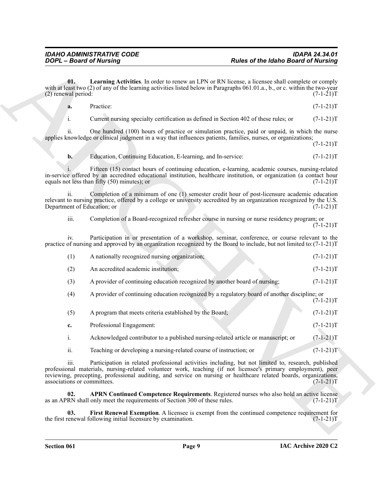<span id="page-8-2"></span><span id="page-8-1"></span><span id="page-8-0"></span>

| a. | Practice: | $(7-1-21)T$ |
|----|-----------|-------------|
|    |           |             |

|                                     | <b>DOPL - Board of Nursing</b>                                                                                                                                                                                                                                                                                                            | <b>Rules of the Idaho Board of Nursing</b> |             |
|-------------------------------------|-------------------------------------------------------------------------------------------------------------------------------------------------------------------------------------------------------------------------------------------------------------------------------------------------------------------------------------------|--------------------------------------------|-------------|
| 01.<br>(2) renewal period:          | Learning Activities. In order to renew an LPN or RN license, a licensee shall complete or comply<br>with at least two $(2)$ of any of the learning activities listed below in Paragraphs 061.01.a., b., or c. within the two-year                                                                                                         |                                            | $(7-1-21)T$ |
| a.                                  | Practice:                                                                                                                                                                                                                                                                                                                                 |                                            | $(7-1-21)T$ |
| i.                                  | Current nursing specialty certification as defined in Section 402 of these rules; or                                                                                                                                                                                                                                                      |                                            | $(7-1-21)T$ |
| ii.                                 | One hundred (100) hours of practice or simulation practice, paid or unpaid, in which the nurse<br>applies knowledge or clinical judgment in a way that influences patients, families, nurses, or organizations;                                                                                                                           |                                            | $(7-1-21)T$ |
| $b$ .                               | Education, Continuing Education, E-learning, and In-service:                                                                                                                                                                                                                                                                              |                                            | $(7-1-21)T$ |
|                                     | Fifteen (15) contact hours of continuing education, e-learning, academic courses, nursing-related<br>in-service offered by an accredited educational institution, healthcare institution, or organization (a contact hour<br>equals not less than fifty (50) minutes); or                                                                 |                                            | $(7-1-21)T$ |
| ii.<br>Department of Education; or  | Completion of a minimum of one (1) semester credit hour of post-licensure academic education<br>relevant to nursing practice, offered by a college or university accredited by an organization recognized by the U.S.                                                                                                                     |                                            | $(7-1-21)T$ |
| iii.                                | Completion of a Board-recognized refresher course in nursing or nurse residency program; or                                                                                                                                                                                                                                               |                                            | $(7-1-21)T$ |
| 1V.                                 | Participation in or presentation of a workshop, seminar, conference, or course relevant to the<br>practice of nursing and approved by an organization recognized by the Board to include, but not limited to: (7-1-21)T                                                                                                                   |                                            |             |
| (1)                                 | A nationally recognized nursing organization;                                                                                                                                                                                                                                                                                             |                                            | $(7-1-21)T$ |
| (2)                                 | An accredited academic institution;                                                                                                                                                                                                                                                                                                       |                                            | $(7-1-21)T$ |
| (3)                                 | A provider of continuing education recognized by another board of nursing;                                                                                                                                                                                                                                                                |                                            | $(7-1-21)T$ |
| (4)                                 | A provider of continuing education recognized by a regulatory board of another discipline; or                                                                                                                                                                                                                                             |                                            | $(7-1-21)T$ |
| (5)                                 | A program that meets criteria established by the Board;                                                                                                                                                                                                                                                                                   |                                            | $(7-1-21)T$ |
| c.                                  | Professional Engagement:                                                                                                                                                                                                                                                                                                                  |                                            | $(7-1-21)T$ |
| 1.                                  | Acknowledged contributor to a published nursing-related article or manuscript; or                                                                                                                                                                                                                                                         |                                            | $(7-1-21)T$ |
| ii.                                 | Teaching or developing a nursing-related course of instruction; or                                                                                                                                                                                                                                                                        |                                            | $(7-1-21)T$ |
| iii.<br>associations or committees. | Participation in related professional activities including, but not limited to, research, published<br>professional materials, nursing-related volunteer work, teaching (if not licensee's primary employment), peer<br>reviewing, precepting, professional auditing, and service on nursing or healthcare related boards, organizations, |                                            | $(7-1-21)T$ |
| 02.                                 | APRN Continued Competence Requirements. Registered nurses who also hold an active license<br>as an APRN shall only meet the requirements of Section 300 of these rules.                                                                                                                                                                   |                                            | $(7-1-21)T$ |
| 03.                                 | First Renewal Exemption. A licensee is exempt from the continued competence requirement for<br>the first renewal following initial licensure by examination.                                                                                                                                                                              |                                            | $(7-1-21)T$ |
|                                     |                                                                                                                                                                                                                                                                                                                                           |                                            |             |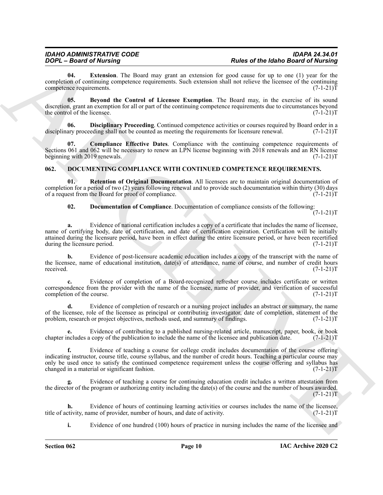<span id="page-9-4"></span>**04. Extension**. The Board may grant an extension for good cause for up to one (1) year for the completion of continuing competence requirements. Such extension shall not relieve the licensee of the continuing<br>(7-1-21)T competence requirements.

<span id="page-9-1"></span>**05. Beyond the Control of Licensee Exemption**. The Board may, in the exercise of its sound discretion, grant an exemption for all or part of the continuing competence requirements due to circumstances beyond<br>(7-1-21)T the control of the licensee.

<span id="page-9-3"></span>**06. Disciplinary Proceeding**. Continued competence activities or courses required by Board order in a disciplinary proceeding shall not be counted as meeting the requirements for licensure renewal.  $(7-1-21)$ T

<span id="page-9-2"></span>**07. Compliance Effective Dates**. Compliance with the continuing competence requirements of Sections 061 and 062 will be necessary to renew an LPN license beginning with 2018 renewals and an RN license beginning with 2019 renewals. (7-1-21) T

#### <span id="page-9-5"></span><span id="page-9-0"></span>**062. DOCUMENTING COMPLIANCE WITH CONTINUED COMPETENCE REQUIREMENTS.**

**Retention of Original Documentation.** All licensees are to maintain original documentation of completion for a period of two (2) years following renewal and to provide such documentation within thirty (30) days of a request from the Board for proof of compliance.  $(7-1-21)T$ 

<span id="page-9-7"></span><span id="page-9-6"></span>**02. Documentation of Compliance**. Documentation of compliance consists of the following:  $(7-1-21)T$ 

**FOOT-BEAM of Multiple Technique Constraints and the set of Multiple Technique Constraints and the Multiple Technique Constraints and the set of Multiple Technique Constraints and the Constraints of the Constraints and th a.** Evidence of national certification includes a copy of a certificate that includes the name of licensee, name of certifying body, date of certification, and date of certification expiration. Certification will be initially attained during the licensure period, have been in effect during the entire licensure period, or have been recertified<br>during the licensure period. (7-1-21)T during the licensure period.

**b.** Evidence of post-licensure academic education includes a copy of the transcript with the name of the licensee, name of educational institution, date(s) of attendance, name of course, and number of credit hours received. (7-1-21)T

**c.** Evidence of completion of a Board-recognized refresher course includes certificate or written correspondence from the provider with the name of the licensee, name of provider, and verification of successful completion of the course. (7-1-21)T completion of the course.

**d.** Evidence of completion of research or a nursing project includes an abstract or summary, the name of the licensee, role of the licensee as principal or contributing investigator, date of completion, statement of the problem, research or project objectives, methods used, and summary of findings. (7-1-21) problem, research or project objectives, methods used, and summary of findings.

**e.** Evidence of contributing to a published nursing-related article, manuscript, paper, book, or book chapter includes a copy of the publication to include the name of the licensee and publication date. (7-1-21)T

**f.** Evidence of teaching a course for college credit includes documentation of the course offering indicating instructor, course title, course syllabus, and the number of credit hours. Teaching a particular course may only be used once to satisfy the continued competence requirement unless the course offering and syllabus has changed in a material or significant fashion. (7-1-21)T

**g.** Evidence of teaching a course for continuing education credit includes a written attestation from the director of the program or authorizing entity including the date(s) of the course and the number of hours awarded.  $(7-1-21)T$ 

**h.** Evidence of hours of continuing learning activities or courses includes the name of the licensee, tivity, name of provider, number of hours, and date of activity. (7-1-21) title of activity, name of provider, number of hours, and date of activity.

**i.** Evidence of one hundred (100) hours of practice in nursing includes the name of the licensee and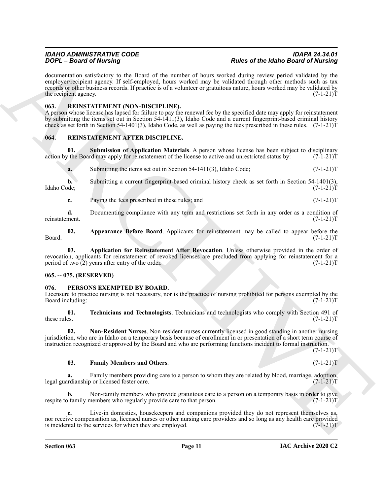**ZOOY** – Based of Marina particular states and the mather of bosts and the March Based of March Based of March Based on the March Based on the March Based on the Control of the March Based on the Control of the March Cont documentation satisfactory to the Board of the number of hours worked during review period validated by the employer/recipient agency. If self-employed, hours worked may be validated through other methods such as tax records or other business records. If practice is of a volunteer or gratuitous nature, hours worked may be validated by the recipient agency.  $(7-1-21)T$ 

#### <span id="page-10-8"></span><span id="page-10-0"></span>**063. REINSTATEMENT (NON-DISCIPLINE).**

A person whose license has lapsed for failure to pay the renewal fee by the specified date may apply for reinstatement by submitting the items set out in Section 54-1411(3), Idaho Code and a current fingerprint-based criminal history check as set forth in Section 54-1401(3), Idaho Code, as well as paying the fees prescribed in these rules. (7-1-21)T

#### <span id="page-10-9"></span><span id="page-10-1"></span>**064. REINSTATEMENT AFTER DISCIPLINE.**

**01. Submission of Application Materials**. A person whose license has been subject to disciplinary the Board may apply for reinstatement of the license to active and unrestricted status by:  $(7-1-21)$ action by the Board may apply for reinstatement of the license to active and unrestricted status by:

<span id="page-10-12"></span>**a.** Submitting the items set out in Section 54-1411(3), Idaho Code;  $(7-1-21)$ T

**b.** Submitting a current fingerprint-based criminal history check as set forth in Section 54-1401(3), Idaho Code; (7-1-21)T

<span id="page-10-10"></span>**c.** Paying the fees prescribed in these rules; and (7-1-21)T

**d.** Documenting compliance with any term and restrictions set forth in any order as a condition of ment.  $(7-1-21)T$ reinstatement.

**02.** Appearance Before Board. Applicants for reinstatement may be called to appear before the  $(7-1-21)T$ Board. (7-1-21)T

<span id="page-10-11"></span>**03. Application for Reinstatement After Revocation**. Unless otherwise provided in the order of revocation, applicants for reinstatement of revoked licenses are precluded from applying for reinstatement for a period of two (2) years after entry of the order. (7-1-21) period of two  $(2)$  years after entry of the order.

#### <span id="page-10-2"></span>**065. -- 075. (RESERVED)**

#### <span id="page-10-4"></span><span id="page-10-3"></span>**076. PERSONS EXEMPTED BY BOARD.**

Licensure to practice nursing is not necessary, nor is the practice of nursing prohibited for persons exempted by the Board including: (7-1-21)T Board including:

<span id="page-10-7"></span>**01.** Technicians and Technologists. Technicians and technologists who comply with Section 491 of these rules.  $(7-1-21)T$ these rules.  $(7-1-21)T$ 

**02. Non-Resident Nurses**. Non-resident nurses currently licensed in good standing in another nursing jurisdiction, who are in Idaho on a temporary basis because of enrollment in or presentation of a short term course of instruction recognized or approved by the Board and who are performing functions incident to formal instruction.  $(7-1-21)T$ 

#### <span id="page-10-6"></span><span id="page-10-5"></span>**03. Family Members and Others**. (7-1-21)T

**a.** Family members providing care to a person to whom they are related by blood, marriage, adoption, redianship or licensed foster care. legal guardianship or licensed foster care.

Non-family members who provide gratuitous care to a person on a temporary basis in order to give nembers who regularly provide care to that person.  $(7-1-21)$ respite to family members who regularly provide care to that person.

**c.** Live-in domestics, housekeepers and companions provided they do not represent themselves as, nor receive compensation as, licensed nurses or other nursing care providers and so long as any health care provided<br>is incidental to the services for which they are employed. (7-1-21) is incidental to the services for which they are employed.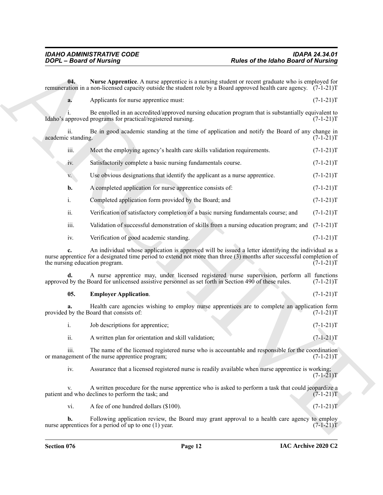<span id="page-11-1"></span>

|                           | <b>DOPL</b> - Board of Nursing                                                                                                                                                                                                                                 | <b>Rules of the Idaho Board of Nursing</b>                                                   |             |
|---------------------------|----------------------------------------------------------------------------------------------------------------------------------------------------------------------------------------------------------------------------------------------------------------|----------------------------------------------------------------------------------------------|-------------|
| 04.                       | Nurse Apprentice. A nurse apprentice is a nursing student or recent graduate who is employed for<br>remuneration in a non-licensed capacity outside the student role by a Board approved health care agency. (7-1-21)T                                         |                                                                                              |             |
| a.                        | Applicants for nurse apprentice must:                                                                                                                                                                                                                          |                                                                                              | $(7-1-21)T$ |
|                           | Be enrolled in an accredited/approved nursing education program that is substantially equivalent to<br>Idaho's approved programs for practical/registered nursing.                                                                                             |                                                                                              | $(7-1-21)T$ |
| ii.<br>academic standing. | Be in good academic standing at the time of application and notify the Board of any change in                                                                                                                                                                  |                                                                                              | $(7-1-21)T$ |
| iii.                      | Meet the employing agency's health care skills validation requirements.                                                                                                                                                                                        |                                                                                              | $(7-1-21)T$ |
| 1V.                       | Satisfactorily complete a basic nursing fundamentals course.                                                                                                                                                                                                   |                                                                                              | $(7-1-21)T$ |
| V.                        | Use obvious designations that identify the applicant as a nurse apprentice.                                                                                                                                                                                    |                                                                                              | $(7-1-21)T$ |
| b.                        | A completed application for nurse apprentice consists of:                                                                                                                                                                                                      |                                                                                              | $(7-1-21)T$ |
| i.                        | Completed application form provided by the Board; and                                                                                                                                                                                                          |                                                                                              | $(7-1-21)T$ |
| ii.                       | Verification of satisfactory completion of a basic nursing fundamentals course; and                                                                                                                                                                            |                                                                                              | $(7-1-21)T$ |
| iii.                      | Validation of successful demonstration of skills from a nursing education program; and                                                                                                                                                                         |                                                                                              | $(7-1-21)T$ |
| iv.                       | Verification of good academic standing.                                                                                                                                                                                                                        |                                                                                              | $(7-1-21)T$ |
|                           | An individual whose application is approved will be issued a letter identifying the individual as a<br>nurse apprentice for a designated time period to extend not more than three (3) months after successful completion of<br>the nursing education program. |                                                                                              | $(7-1-21)T$ |
|                           | A nurse apprentice may, under licensed registered nurse supervision, perform all functions<br>approved by the Board for unlicensed assistive personnel as set forth in Section 490 of these rules.                                                             |                                                                                              | $(7-1-21)T$ |
| 05.                       | <b>Employer Application.</b>                                                                                                                                                                                                                                   |                                                                                              | $(7-1-21)T$ |
| a.                        | Health care agencies wishing to employ nurse apprentices are to complete an application form<br>provided by the Board that consists of:                                                                                                                        |                                                                                              | $(7-1-21)T$ |
| i.                        | Job descriptions for apprentice;                                                                                                                                                                                                                               |                                                                                              | $(7-1-21)T$ |
| ii.                       | A written plan for orientation and skill validation;                                                                                                                                                                                                           |                                                                                              | $(7-1-21)T$ |
| iii.                      | The name of the licensed registered nurse who is accountable and responsible for the coordination<br>or management of the nurse apprentice program;                                                                                                            |                                                                                              | $(7-1-21)T$ |
| iv.                       | Assurance that a licensed registered nurse is readily available when nurse apprentice is working;                                                                                                                                                              |                                                                                              | $(7-1-21)T$ |
| V.                        | A written procedure for the nurse apprentice who is asked to perform a task that could jeopardize a<br>patient and who declines to perform the task; and                                                                                                       |                                                                                              | $(7-1-21)T$ |
| vi.                       | A fee of one hundred dollars (\$100).                                                                                                                                                                                                                          |                                                                                              | $(7-1-21)T$ |
|                           |                                                                                                                                                                                                                                                                | Following application review, the Board may grant approval to a health care agency to employ |             |

### <span id="page-11-0"></span>**05. Employer Application**. (7-1-21)T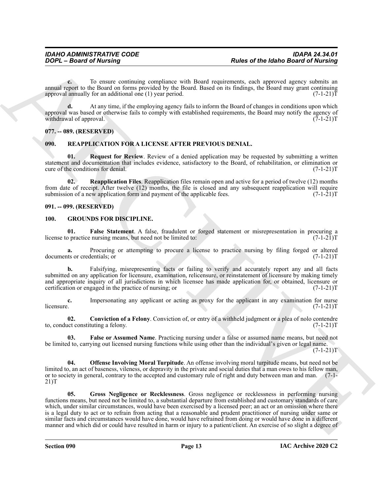**c.** To ensure continuing compliance with Board requirements, each approved agency submits an annual report to the Board on forms provided by the Board. Based on its findings, the Board may grant continuing approval annually for an additional one (1) year period. (7-1-21) approval annually for an additional one  $(1)$  year period.

**d.** At any time, if the employing agency fails to inform the Board of changes in conditions upon which approval was based or otherwise fails to comply with established requirements, the Board may notify the agency of withdrawal of approval.  $(7-1-21)T$ 

#### <span id="page-12-0"></span>**077. -- 089. (RESERVED)**

#### <span id="page-12-10"></span><span id="page-12-1"></span>**090. REAPPLICATION FOR A LICENSE AFTER PREVIOUS DENIAL.**

<span id="page-12-11"></span>**01. Request for Review**. Review of a denied application may be requested by submitting a written statement and documentation that includes evidence, satisfactory to the Board, of rehabilitation, or elimination or cure of the conditions for denial. (7-1-21) cure of the conditions for denial.

**02. Reapplication Files**. Reapplication files remain open and active for a period of twelve (12) months from date of receipt. After twelve (12) months, the file is closed and any subsequent reapplication will require submission of a new application form and payment of the applicable fees.  $(7-1-21)T$ 

#### <span id="page-12-2"></span>**091. -- 099. (RESERVED)**

#### <span id="page-12-7"></span><span id="page-12-4"></span><span id="page-12-3"></span>**100. GROUNDS FOR DISCIPLINE.**

**01.** False Statement. A false, fraudulent or forged statement or misrepresentation in procuring a practice nursing means, but need not be limited to:  $(7-1-21)T$ license to practice nursing means, but need not be limited to:

**a.** Procuring or attempting to procure a license to practice nursing by filing forged or altered ts or credentials; or  $(7-1-21)$ documents or credentials; or

**b.** Falsifying, misrepresenting facts or failing to verify and accurately report any and all facts submitted on any application for licensure, examination, relicensure, or reinstatement of licensure by making timely and appropriate inquiry of all jurisdictions in which licensee has made application for, or obtained, licensure or certification or engaged in the practice of nursing; or  $(7-1-21)$ certification or engaged in the practice of nursing; or

**c.** Impersonating any applicant or acting as proxy for the applicant in any examination for nurse licensure. (7-1-21)T  $l$ icensure. (7-1-21)T

<span id="page-12-5"></span>**02.** Conviction of a Felony. Conviction of, or entry of a withheld judgment or a plea of nolo contendre act constituting a felony. to, conduct constituting a felony.

<span id="page-12-6"></span>**03. False or Assumed Name**. Practicing nursing under a false or assumed name means, but need not be limited to, carrying out licensed nursing functions while using other than the individual's given or legal name.

 $(7-1-21)T$ 

<span id="page-12-9"></span><span id="page-12-8"></span>**04. Offense Involving Moral Turpitude**. An offense involving moral turpitude means, but need not be limited to, an act of baseness, vileness, or depravity in the private and social duties that a man owes to his fellow man, or to society in general, contrary to the accepted and customary rule of right and duty between man and man. (7-1- 21)T

Points of the latinos distribution of the latinos distribution of the latinos distribution in the same of the same of the same of the same of the same of the same of the same of the same of the same of the same of the sam **05. Gross Negligence or Recklessness**. Gross negligence or recklessness in performing nursing functions means, but need not be limited to, a substantial departure from established and customary standards of care which, under similar circumstances, would have been exercised by a licensed peer; an act or an omission where there is a legal duty to act or to refrain from acting that a reasonable and prudent practitioner of nursing under same or similar facts and circumstances would have done, would have refrained from doing or would have done in a different manner and which did or could have resulted in harm or injury to a patient/client. An exercise of so slight a degree of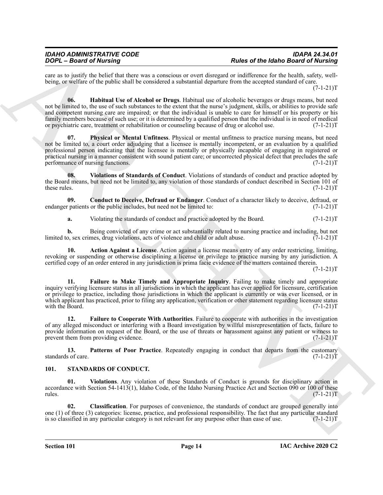<span id="page-13-5"></span>care as to justify the belief that there was a conscious or overt disregard or indifference for the health, safety, wellbeing, or welfare of the public shall be considered a substantial departure from the accepted standard of care.

 $(7-1-21)T$ 

For  $\frac{1}{2}$  and  $\frac{1}{2}$  between the three states of the state of the state of the state of the state of the state of the state of the state of the state of the state of the state of the state of the state of the state **06. Habitual Use of Alcohol or Drugs**. Habitual use of alcoholic beverages or drugs means, but need not be limited to, the use of such substances to the extent that the nurse's judgment, skills, or abilities to provide safe and competent nursing care are impaired; or that the individual is unable to care for himself or his property or his family members because of such use; or it is determined by a qualified person that the individual is in need of medical or psychiatric care, treatment or rehabilitation or counseling because of drug or alcohol use. (7-1-21)T

<span id="page-13-7"></span>**07. Physical or Mental Unfitness**. Physical or mental unfitness to practice nursing means, but need not be limited to, a court order adjudging that a licensee is mentally incompetent, or an evaluation by a qualified professional person indicating that the licensee is mentally or physically incapable of engaging in registered or practical nursing in a manner consistent with sound patient care; or uncorrected physical defect that precludes the safe performance of nursing functions. (7-1-21)T

<span id="page-13-8"></span>**08. Violations of Standards of Conduct**. Violations of standards of conduct and practice adopted by the Board means, but need not be limited to, any violation of those standards of conduct described in Section 101 of these rules. (7-1-21)T

**09.** Conduct to Deceive, Defraud or Endanger. Conduct of a character likely to deceive, defraud, or patients or the public includes, but need not be limited to: (7-1-21) endanger patients or the public includes, but need not be limited to:

<span id="page-13-2"></span><span id="page-13-1"></span>**a.** Violating the standards of conduct and practice adopted by the Board. (7-1-21)T

**b.** Being convicted of any crime or act substantially related to nursing practice and including, but not o, sex crimes, drug violations, acts of violence and child or adult abuse. (7-1-21) limited to, sex crimes, drug violations, acts of violence and child or adult abuse.

**10. Action Against a License**. Action against a license means entry of any order restricting, limiting, revoking or suspending or otherwise disciplining a license or privilege to practice nursing by any jurisdiction. A certified copy of an order entered in any jurisdiction is prima facie evidence of the matters contained therein.

 $(7-1-21)T$ 

<span id="page-13-4"></span>**11. Failure to Make Timely and Appropriate Inquiry**. Failing to make timely and appropriate inquiry verifying licensure status in all jurisdictions in which the applicant has ever applied for licensure, certification or privilege to practice, including those jurisdictions in which the applicant is currently or was ever licensed, or in which applicant has practiced, prior to filing any application, verification or other statement regarding licensure status with the Board. (7-1-21)T with the Board.

<span id="page-13-3"></span>**12. Failure to Cooperate With Authorities**. Failure to cooperate with authorities in the investigation of any alleged misconduct or interfering with a Board investigation by willful misrepresentation of facts, failure to provide information on request of the Board, or the use of threats or harassment against any patient or witness to prevent them from providing evidence. (7-1-21)T

<span id="page-13-6"></span>**13.** Patterns of Poor Practice. Repeatedly engaging in conduct that departs from the customary s of care. (7-1-21) standards of care.

#### <span id="page-13-9"></span><span id="page-13-0"></span>**101. STANDARDS OF CONDUCT.**

<span id="page-13-11"></span>**01. Violations**. Any violation of these Standards of Conduct is grounds for disciplinary action in accordance with Section 54-1413(1), Idaho Code, of the Idaho Nursing Practice Act and Section 090 or 100 of these rules.  $(7-1-21)$ T

<span id="page-13-10"></span>**02. Classification**. For purposes of convenience, the standards of conduct are grouped generally into one (1) of three (3) categories: license, practice, and professional responsibility. The fact that any particular standard is so classified in any particular category is not relevant for any purpose other than ease of use is so classified in any particular category is not relevant for any purpose other than ease of use.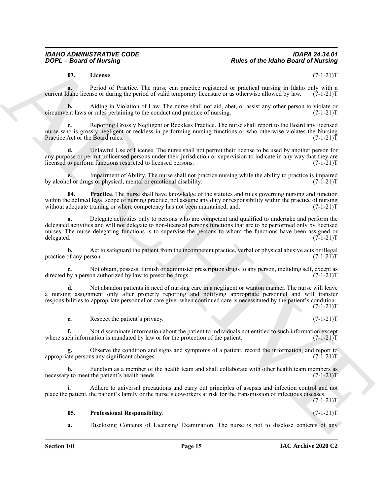#### <span id="page-14-0"></span>**03. License**. (7-1-21)T

**a.** Period of Practice. The nurse can practice registered or practical nursing in Idaho only with a daho license or during the period of valid temporary licensure or as otherwise allowed by law. (7-1-21) current Idaho license or during the period of valid temporary licensure or as otherwise allowed by law.

**b.** Aiding in Violation of Law. The nurse shall not aid, abet, or assist any other person to violate or hurst laws or rules pertaining to the conduct and practice of nursing. (7-1-21) circumvent laws or rules pertaining to the conduct and practice of nursing.

**c.** Reporting Grossly Negligent or Reckless Practice. The nurse shall report to the Board any licensed nurse who is grossly negligent or reckless in performing nursing functions or who otherwise violates the Nursing<br>Practice Act or the Board rules. (7-1-21) Practice Act or the Board rules.

**d.** Unlawful Use of License. The nurse shall not permit their license to be used by another person for any purpose or permit unlicensed persons under their jurisdiction or supervision to indicate in any way that they are licensed to perform functions restricted to licensed persons. (7-1-21)T

**e.** Impairment of Ability. The nurse shall not practice nursing while the ability to practice is impaired of or drugs or physical, mental or emotional disability. (7-1-21) by alcohol or drugs or physical, mental or emotional disability.

<span id="page-14-1"></span>**Practice**. The nurse shall have knowledge of the statutes and rules governing nursing and function within the defined legal scope of nursing practice, not assume any duty or responsibility within the practice of nursing without adequate training or where competency has not been maintained, and: (7-1-21) without adequate training or where competency has not been maintained, and:

Papel at the same of the same interest in the same of the Idaho Based of Number 2018.<br>
Using the same of the same of the same of the same of the same of the Idaho Based of Number 2018.<br>
Security and the same of the same o **a.** Delegate activities only to persons who are competent and qualified to undertake and perform the delegated activities and will not delegate to non-licensed persons functions that are to be performed only by licensed nurses. The nurse delegating functions is to supervise the persons to whom the functions have been assigned or delegated.  $(7-1-21)T$ delegated. (7-1-21)T

**b.** Act to safeguard the patient from the incompetent practice, verbal or physical abusive acts or illegal of any person.  $(7-1-21)T$ practice of any person.

**c.** Not obtain, possess, furnish or administer prescription drugs to any person, including self, except as by a person authorized by law to prescribe drugs.  $(7-1-21)$ directed by a person authorized by law to prescribe drugs.

**d.** Not abandon patients in need of nursing care in a negligent or wanton manner. The nurse will leave a nursing assignment only after properly reporting and notifying appropriate personnel and will transfer responsibilities to appropriate personnel or care giver when continued care is necessitated by the patient's condition.  $(7-1-21)T$ 

**e.** Respect the patient's privacy. (7-1-21)T

**f.** Not disseminate information about the patient to individuals not entitled to such information except where such information is mandated by law or for the protection of the patient.  $(7-1-21)T$ 

Observe the condition and signs and symptoms of a patient, record the information, and report to ns any significant changes.  $(7-1-21)T$ appropriate persons any significant changes.

**h.** Function as a member of the health team and shall collaborate with other health team members as necessary to meet the patient's health needs. (7-1-21)T

**i.** Adhere to universal precautions and carry out principles of asepsis and infection control and not place the patient, the patient's family or the nurse's coworkers at risk for the transmission of infectious diseases.

 $(7-1-21)T$ 

#### <span id="page-14-2"></span>**05. Professional Responsibility**. (7-1-21)T

**a.** Disclosing Contents of Licensing Examination. The nurse is not to disclose contents of any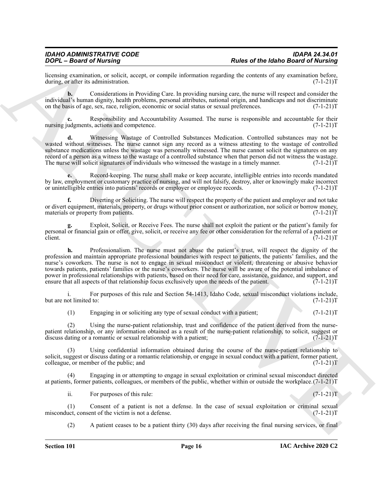licensing examination, or solicit, accept, or compile information regarding the contents of any examination before, during, or after its administration. (7-1-21)T during, or after its administration.

**b.** Considerations in Providing Care. In providing nursing care, the nurse will respect and consider the individual's human dignity, health problems, personal attributes, national origin, and handicaps and not discriminate on the basis of age, sex, race, religion, economic or social status or sexual preferences. (7-1-21)T

Responsibility and Accountability Assumed. The nurse is responsible and accountable for their s, actions and competence.  $(7-1-21)T$ nursing judgments, actions and competence.

**d.** Witnessing Wastage of Controlled Substances Medication. Controlled substances may not be wasted without witnesses. The nurse cannot sign any record as a witness attesting to the wastage of controlled substance medications unless the wastage was personally witnessed. The nurse cannot solicit the signatures on any record of a person as a witness to the wastage of a controlled substance when that person did not witness the wastage. The nurse will solicit signatures of individuals who witnessed the wastage in a timely manner. (7-1-21) T

**e.** Record-keeping. The nurse shall make or keep accurate, intelligible entries into records mandated by law, employment or customary practice of nursing, and will not falsify, destroy, alter or knowingly make incorrect or unintelligible entries into patients' records or employer or employee records. (7-1-21)T

**f.** Diverting or Soliciting. The nurse will respect the property of the patient and employer and not take or divert equipment, materials, property, or drugs without prior consent or authorization, nor solicit or borrow money, materials or property from patients. (7-1-21) materials or property from patients.

**g.** Exploit, Solicit, or Receive Fees. The nurse shall not exploit the patient or the patient's family for personal or financial gain or offer, give, solicit, or receive any fee or other consideration for the referral of a patient or client. (7-1-21)T

Photo of the heliotopy and the set of the heliotopy for the set of the heliotopy for  $\vec{B}$  and  $\vec{B}$  and  $\vec{B}$  and  $\vec{B}$  and  $\vec{B}$  and  $\vec{B}$  and  $\vec{B}$  and  $\vec{B}$  and  $\vec{B}$  and  $\vec{B}$  and  $\vec{B}$  and  $\vec{$ **h.** Professionalism. The nurse must not abuse the patient's trust, will respect the dignity of the profession and maintain appropriate professional boundaries with respect to patients, the patients' families, and the nurse's coworkers. The nurse is not to engage in sexual misconduct or violent, threatening or abusive behavior towards patients, patients' families or the nurse's coworkers. The nurse will be aware of the potential imbalance of power in professional relationships with patients, based on their need for care, assistance, guidance, and support, and ensure that all aspects of that relationship focus exclusively upon the needs of the patient. (7-1-21) T

i. For purposes of this rule and Section 54-1413, Idaho Code, sexual misconduct violations include, but are not limited to: (7-1-21)T

(1) Engaging in or soliciting any type of sexual conduct with a patient;  $(7-1-21)T$ 

(2) Using the nurse-patient relationship, trust and confidence of the patient derived from the nursepatient relationship, or any information obtained as a result of the nurse-patient relationship, to solicit, suggest or discuss dating or a romantic or sexual relationship with a patient;  $(7-1-21)$ T

(3) Using confidential information obtained during the course of the nurse-patient relationship to solicit, suggest or discuss dating or a romantic relationship, or engage in sexual conduct with a patient, former patient, colleague, or member of the public; and (7-1-21)T

(4) Engaging in or attempting to engage in sexual exploitation or criminal sexual misconduct directed at patients, former patients, colleagues, or members of the public, whether within or outside the workplace.(7-1-21)T

ii. For purposes of this rule:  $(7-1-21)T$ 

(1) Consent of a patient is not a defense. In the case of sexual exploitation or criminal sexual exploitation or criminal sexual exploitation or  $(7-1-21)$ T misconduct, consent of the victim is not a defense.

(2) A patient ceases to be a patient thirty (30) days after receiving the final nursing services, or final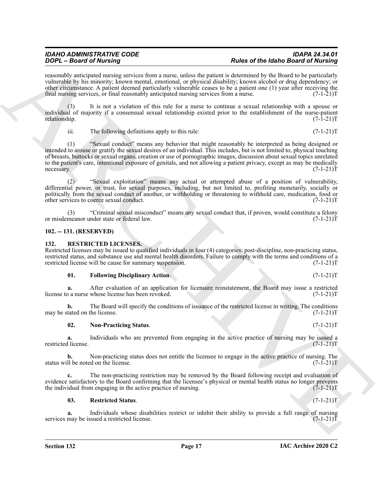## *IDAHO ADMINISTRATIVE CODE IDAPA 24.34.01*

reasonably anticipated nursing services from a nurse, unless the patient is determined by the Board to be particularly vulnerable by his minority; known mental, emotional, or physical disability; known alcohol or drug dependency; or other circumstance. A patient deemed particularly vulnerable ceases to be a patient one (1) year after receiving the final nursing services, or final reasonably anticipated nursing services from a nurse. (7-1-21) final nursing services, or final reasonably anticipated nursing services from a nurse.

It is not a violation of this rule for a nurse to continue a sexual relationship with a spouse or individual of majority if a consensual sexual relationship existed prior to the establishment of the nurse-patient relationship. (7-1-21)T relationship. (7-1-21)T

iii. The following definitions apply to this rule:  $(7-1-21)T$ 

Figure 2.6 and of Material strengthening and the priori Research of Material Street Experimental Street Experimental Street Experimental Street Experimental Street Experimental Street Experimental Street Experimental Stre (1) "Sexual conduct" means any behavior that might reasonably be interpreted as being designed or intended to arouse or gratify the sexual desires of an individual. This includes, but is not limited to, physical touching of breasts, buttocks or sexual organs, creation or use of pornographic images, discussion about sexual topics unrelated to the patient's care, intentional exposure of genitals, and not allowing a patient privacy, except as may be medically necessary. (7-1-21) necessary. (7-1-21)T

(2) "Sexual exploitation" means any actual or attempted abuse of a position of vulnerability, differential power, or trust, for sexual purposes, including, but not limited to, profiting monetarily, socially or politically from the sexual conduct of another, or withholding or threatening to withhold care, medication, food or other services to coerce sexual conduct. (7-1-21)T other services to coerce sexual conduct.

"Criminal sexual misconduct" means any sexual conduct that, if proven, would constitute a felony under state or federal law. (7-1-21) or misdemeanor under state or federal law.

#### <span id="page-16-0"></span>**102. -- 131. (RESERVED)**

#### <span id="page-16-4"></span><span id="page-16-1"></span>**132. RESTRICTED LICENSES.**

Restricted licenses may be issued to qualified individuals in four (4) categories: post-discipline, non-practicing status, restricted status, and substance use and mental health disorders. Failure to comply with the terms and conditions of a restricted license will be cause for summary suspension. (7-1-21) restricted license will be cause for summary suspension.

#### <span id="page-16-5"></span>**01.** Following Disciplinary Action. (7-1-21)T

**a.** After evaluation of an application for licensure reinstatement, the Board may issue a restricted o a nurse whose license has been revoked. (7-1-21) license to a nurse whose license has been revoked.

**b.** The Board will specify the conditions of issuance of the restricted license in writing. The conditions tated on the license. (7-1-21)T may be stated on the license.

#### <span id="page-16-2"></span>**02. Non-Practicing Status**. (7-1-21)T

**a.** Individuals who are prevented from engaging in the active practice of nursing may be issued a license. (7-1-21)T restricted license.

**b.** Non-practicing status does not entitle the licensee to engage in the active practice of nursing. The II be noted on the license. (7-1-21)T status will be noted on the license.

**c.** The non-practicing restriction may be removed by the Board following receipt and evaluation of evidence satisfactory to the Board confirming that the licensee's physical or mental health status no longer prevents the individual from engaging in the active practice of nursing. (7-1-21) the individual from engaging in the active practice of nursing.

#### <span id="page-16-3"></span>**03. Restricted Status**. (7-1-21)T

**a.** Individuals whose disabilities restrict or inhibit their ability to provide a full range of nursing may be issued a restricted license. services may be issued a restricted license.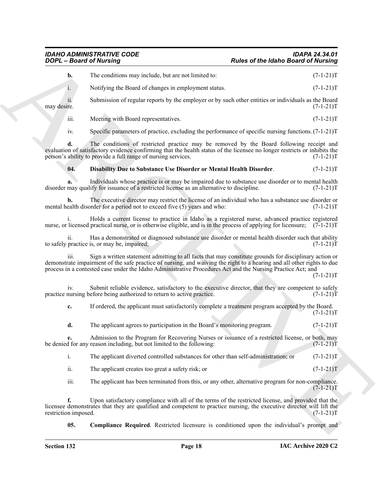#### *IDAHO ADMINISTRATIVE CODE IDAPA 24.34.01 Rules of the Idaho Board of Nursing*

**b.** The conditions may include, but are not limited to:  $(7-1-21)T$ 

i. Notifying the Board of changes in employment status. (7-1-21)T

ii. Submission of regular reports by the employer or by such other entities or individuals as the Board may desire. (7-1-21)T

iii. Meeting with Board representatives. (7-1-21) T

iv. Specific parameters of practice, excluding the performance of specific nursing functions. (7-1-21)T

**Posite of the Interior Georgian Control is the Compact of the Interior Control is the Compact of Nichting<br>
1. Very smaller the position of the Compact of the Compact of the Compact of The United Schemes and the United Sc d.** The conditions of restricted practice may be removed by the Board following receipt and evaluation of satisfactory evidence confirming that the health status of the licensee no longer restricts or inhibits the person's ability to provide a full range of nursing services. (7-1-21)T

#### <span id="page-17-1"></span>**04. Disability Due to Substance Use Disorder or Mental Health Disorder**. (7-1-21)T

**a.** Individuals whose practice is or may be impaired due to substance use disorder or to mental health disorder may qualify for issuance of a restricted license as an alternative to discipline. (7-1-21)T

**b.** The executive director may restrict the license of an individual who has a substance use disorder or ealth disorder for a period not to exceed five  $(5)$  years and who:  $(7-1-21)$ mental health disorder for a period not to exceed five (5) years and who:

i. Holds a current license to practice in Idaho as a registered nurse, advanced practice registered nurse, or licensed practical nurse, or is otherwise eligible, and is in the process of applying for licensure; (7-1-21)T

ii. Has a demonstrated or diagnosed substance use disorder or mental health disorder such that ability practice is, or may be, impaired; to safely practice is, or may be, impaired;

iii. Sign a written statement admitting to all facts that may constitute grounds for disciplinary action or demonstrate impairment of the safe practice of nursing, and waiving the right to a hearing and all other rights to due process in a contested case under the Idaho Administrative Procedures Act and the Nursing Practice Act; and

 $(7-1-21)T$ 

 $(7-1-21)T$ 

iv. Submit reliable evidence, satisfactory to the executive director, that they are competent to safely nursing before being authorized to return to active practice. (7-1-21) practice nursing before being authorized to return to active practice.

**c.** If ordered, the applicant must satisfactorily complete a treatment program accepted by the Board.

**d.** The applicant agrees to participation in the Board's monitoring program. (7-1-21)

Admission to the Program for Recovering Nurses or issuance of a restricted license, or both, may reason including, but not limited to the following:  $(7-1-21)$ be denied for any reason including, but not limited to the following:

| The applicant diverted controlled substances for other than self-administration; or | $(7-1-21)T$ |
|-------------------------------------------------------------------------------------|-------------|
|                                                                                     |             |

ii. The applicant creates too great a safety risk; or  $(7-1-21)$ T

iii. The applicant has been terminated from this, or any other, alternative program for non-compliance.  $(7-1-21)T$ 

**f.** Upon satisfactory compliance with all of the terms of the restricted license, and provided that the licensee demonstrates that they are qualified and competent to practice nursing, the executive director will lift the restriction imposed. (7-1-21) restriction imposed.

<span id="page-17-0"></span>**05. Compliance Required**. Restricted licensure is conditioned upon the individual's prompt and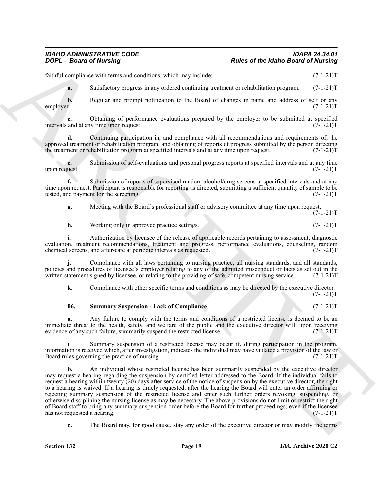#### *IDAHO ADMINISTRATIVE CODE IDAPA 24.34.01 Rules of the Idaho Board of Nursing*

faithful compliance with terms and conditions, which may include:  $(7-1-21)$ T

**a.** Satisfactory progress in any ordered continuing treatment or rehabilitation program. (7-1-21)T

**b.** Regular and prompt notification to the Board of changes in name and address of self or any r. employer. (7-1-21)T

**c.** Obtaining of performance evaluations prepared by the employer to be submitted at specified and at any time upon request. (7-1-21)T intervals and at any time upon request.

**d.** Continuing participation in, and compliance with all recommendations and requirements of, the approved treatment or rehabilitation program, and obtaining of reports of progress submitted by the person directing<br>the treatment or rehabilitation program at specified intervals and at any time upon request. (7-1-21) the treatment or rehabilitation program at specified intervals and at any time upon request.

**e.** Submission of self-evaluations and personal progress reports at specified intervals and at any time uest.  $(7-1-21)T$ upon request.

**f.** Submission of reports of supervised random alcohol/drug screens at specified intervals and at any time upon request. Participant is responsible for reporting as directed, submitting a sufficient quantity of sample to be tested, and payment for the screening. (7-1-21)T

**g.** Meeting with the Board's professional staff or advisory committee at any time upon request.  $(7-1-21)T$ 

**h.** Working only in approved practice settings. (7-1-21)T

**i.** Authorization by licensee of the release of applicable records pertaining to assessment, diagnostic evaluation, treatment recommendations, treatment and progress, performance evaluations, counseling, random chemical screens, and after-care at periodic intervals as requested. (7-1-21) chemical screens, and after-care at periodic intervals as requested.

**j.** Compliance with all laws pertaining to nursing practice, all nursing standards, and all standards, policies and procedures of licensee's employer relating to any of the admitted misconduct or facts as set out in the written statement signed by licensee, or relating to the providing of safe, competent nursing service. (7-1-21)T

**k.** Compliance with other specific terms and conditions as may be directed by the executive director.  $(7-1-21)T$ 

#### <span id="page-18-0"></span>**06. Summary Suspension - Lack of Compliance**. (7-1-21)T

**a.** Any failure to comply with the terms and conditions of a restricted license is deemed to be an immediate threat to the health, safety, and welfare of the public and the executive director will, upon receiving evidence of any such failure, summarily suspend the restricted license. (7-1-21) evidence of any such failure, summarily suspend the restricted license.

i. Summary suspension of a restricted license may occur if, during participation in the program, information is received which, after investigation, indicates the individual may have violated a provision of the law or Board rules governing the practice of nursing.

**Parks of the latino Based of Numbers**<br> **Parks of the latino Based of Numbers**<br>
Localistic control and the state of the state and the state of the latino Based of the state of the state of the state of the state of the st **b.** An individual whose restricted license has been summarily suspended by the executive director may request a hearing regarding the suspension by certified letter addressed to the Board. If the individual fails to request a hearing within twenty (20) days after service of the notice of suspension by the executive director, the right to a hearing is waived. If a hearing is timely requested, after the hearing the Board will enter an order affirming or rejecting summary suspension of the restricted license and enter such further orders revoking, suspending, or otherwise disciplining the nursing license as may be necessary. The above provisions do not limit or restrict the right of Board staff to bring any summary suspension order before the Board for further proceedings, even if the licensee<br>has not requested a hearing. (7-1-21)T has not requested a hearing.

**c.** The Board may, for good cause, stay any order of the executive director or may modify the terms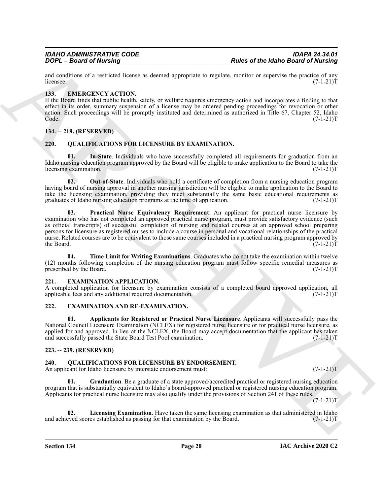and conditions of a restricted license as deemed appropriate to regulate, monitor or supervise the practice of any licensee. (7-1-21) licensee.  $(7-1-21)T$ 

#### <span id="page-19-7"></span><span id="page-19-0"></span>**133. EMERGENCY ACTION.**

If the Board finds that public health, safety, or welfare requires emergency action and incorporates a finding to that effect in its order, summary suspension of a license may be ordered pending proceedings for revocation or other action. Such proceedings will be promptly instituted and determined as authorized in Title 67, Chapter 52, Idaho  $\text{Code.} \tag{7-1-21}$ 

#### <span id="page-19-1"></span>**134. -- 219. (RESERVED)**

#### <span id="page-19-14"></span><span id="page-19-2"></span>**220. QUALIFICATIONS FOR LICENSURE BY EXAMINATION.**

<span id="page-19-15"></span>**01. In-State**. Individuals who have successfully completed all requirements for graduation from an Idaho nursing education program approved by the Board will be eligible to make application to the Board to take the licensing examination. (7-1-21) licensing examination.

<span id="page-19-17"></span><span id="page-19-16"></span>**02. Out-of-State**. Individuals who hold a certificate of completion from a nursing education program having board of nursing approval in another nursing jurisdiction will be eligible to make application to the Board to take the licensing examination, providing they meet substantially the same basic educational requirements as graduates of Idaho nursing education programs at the time of application. (7-1-21)T

**France of the latter of the latter of the latter of the latter state for the latter of the latter of the latter of the latter of the latter of the latter of the latter of the latter of the latter of the latter of the lat 03. Practical Nurse Equivalency Requirement**. An applicant for practical nurse licensure by examination who has not completed an approved practical nurse program, must provide satisfactory evidence (such as official transcripts) of successful completion of nursing and related courses at an approved school preparing persons for licensure as registered nurses to include a course in personal and vocational relationships of the practical nurse. Related courses are to be equivalent to those same courses included in a practical nursing program approved by the Board.  $(7-1-21)T$ the Board. (7-1-21)T

<span id="page-19-18"></span>**04. Time Limit for Writing Examinations**. Graduates who do not take the examination within twelve (12) months following completion of the nursing education program must follow specific remedial measures as prescribed by the Board.  $(7-1-21)T$ prescribed by the Board.

#### <span id="page-19-10"></span><span id="page-19-3"></span>**221. EXAMINATION APPLICATION.**

A completed application for licensure by examination consists of a completed board approved application, all applicable fees and any additional required documentation. applicable fees and any additional required documentation.

#### <span id="page-19-8"></span><span id="page-19-4"></span>**222. EXAMINATION AND RE-EXAMINATION.**

<span id="page-19-9"></span>**01. Applicants for Registered or Practical Nurse Licensure**. Applicants will successfully pass the National Council Licensure Examination (NCLEX) for registered nurse licensure or for practical nurse licensure, as applied for and approved. In lieu of the NCLEX, the Board may accept documentation that the applicant has taken and successfully passed the State Board Test Pool examination. (7-1-21)T

#### <span id="page-19-5"></span>**223. -- 239. (RESERVED)**

#### <span id="page-19-11"></span><span id="page-19-6"></span>**240. QUALIFICATIONS FOR LICENSURE BY ENDORSEMENT.**

An applicant for Idaho licensure by interstate endorsement must:  $(7-1-21)$ T

<span id="page-19-12"></span>**01. Graduation**. Be a graduate of a state approved/accredited practical or registered nursing education program that is substantially equivalent to Idaho's board-approved practical or registered nursing education program. Applicants for practical nurse licensure may also qualify under the provisions of Section 241 of these rules.

 $(7-1-21)T$ 

<span id="page-19-13"></span>**02.** Licensing Examination. Have taken the same licensing examination as that administered in Idaho eved scores established as passing for that examination by the Board. (7-1-21) and achieved scores established as passing for that examination by the Board.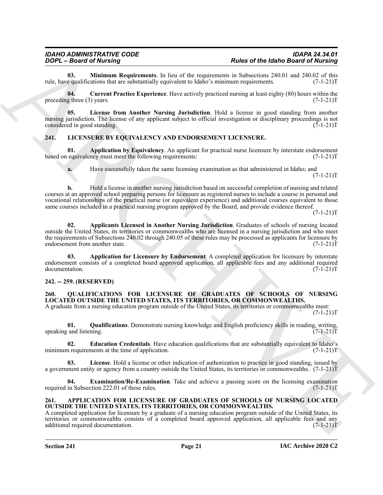<span id="page-20-11"></span>**03. Minimum Requirements**. In lieu of the requirements in Subsections 240.01 and 240.02 of this equalifications that are substantially equivalent to Idaho's minimum requirements. (7-1-21)T rule, have qualifications that are substantially equivalent to Idaho's minimum requirements.

<span id="page-20-9"></span>**04. Current Practice Experience**. Have actively practiced nursing at least eighty (80) hours within the preceding three (3) years.  $(7-1-21)T$ 

<span id="page-20-10"></span>**05. License from Another Nursing Jurisdiction**. Hold a license in good standing from another nursing jurisdiction. The license of any applicant subject to official investigation or disciplinary proceedings is not considered in good standing. (7-1-21) considered in good standing.

#### <span id="page-20-5"></span><span id="page-20-0"></span>**241. LICENSURE BY EQUIVALENCY AND ENDORSEMENT LICENSURE.**

**01. Application by Equivalency**. An applicant for practical nurse licensure by interstate endorsement equivalency must meet the following requirements:  $(7-1-21)$ based on equivalency must meet the following requirements:



<span id="page-20-7"></span>**a.** Have successfully taken the same licensing examination as that administered in Idaho; and  $(7-1-21)T$ 

**FOOT-Boots of Materials and Scheme of the system of the system of the laboration of the system of the system of the system of the system of the system of the system of the system of the system of the system of the system b.** Hold a license in another nursing jurisdiction based on successful completion of nursing and related courses at an approved school preparing persons for licensure as registered nurses to include a course in personal and vocational relationships of the practical nurse (or equivalent experience) and additional courses equivalent to those same courses included in a practical nursing program approved by the Board, and provide evidence thereof.

 $(7-1-21)T$ 

<span id="page-20-6"></span>**02. Applicants Licensed in Another Nursing Jurisdiction**. Graduates of schools of nursing located outside the United States, its territories or commonwealths who are licensed in a nursing jurisdiction and who meet the requirements of Subsections 240.02 through 240.05 of these rules may be processed as applicants for licensure by endorsement from another state.  $(7-1-21)$ endorsement from another state.

<span id="page-20-8"></span>**03. Application for Licensure by Endorsement**. A completed application for licensure by interstate endorsement consists of a completed board approved application, all applicable fees and any additional required documentation.

#### <span id="page-20-1"></span>**242. -- 259. (RESERVED)**

#### <span id="page-20-12"></span><span id="page-20-2"></span>**260. QUALIFICATIONS FOR LICENSURE OF GRADUATES OF SCHOOLS OF NURSING LOCATED OUTSIDE THE UNITED STATES, ITS TERRITORIES, OR COMMONWEALTHS.**

A graduate from a nursing education program outside of the United States, its territories or commonwealths must:  $(7-1-21)T$ 

<span id="page-20-16"></span>**01. Qualifications**. Demonstrate nursing knowledge and English proficiency skills in reading, writing, speaking and listening.

<span id="page-20-13"></span>**02. Education Credentials**. Have education qualifications that are substantially equivalent to Idaho's nequirements at the time of application. (7-1-21) minimum requirements at the time of application.

<span id="page-20-15"></span>**03. License**. Hold a license or other indication of authorization to practice in good standing, issued by a government entity or agency from a country outside the United States, its territories or commonwealths. (7-1-21)T

<span id="page-20-14"></span>**04. Examination/Re-Examination**. Take and achieve a passing score on the licensing examination in Subsection 222.01 of these rules. (7-1-21)T required in Subsection 222.01 of these rules.

#### <span id="page-20-4"></span><span id="page-20-3"></span>**261. APPLICATION FOR LICENSURE OF GRADUATES OF SCHOOLS OF NURSING LOCATED OUTSIDE THE UNITED STATES, ITS TERRITORIES, OR COMMONWEALTHS.**

A completed application for licensure by a graduate of a nursing education program outside of the United States, its territories or commonwealths consists of a completed board approved application, all applicable fees and any additional required documentation. (7-1-21)T additional required documentation.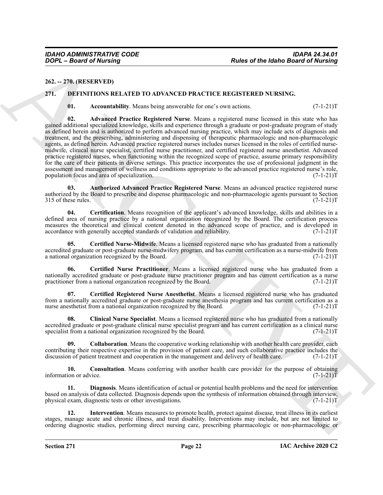<span id="page-21-0"></span>**262. -- 270. (RESERVED)**

#### <span id="page-21-1"></span>**271. DEFINITIONS RELATED TO ADVANCED PRACTICE REGISTERED NURSING.**

<span id="page-21-4"></span><span id="page-21-3"></span><span id="page-21-2"></span>**01.** Accountability. Means being answerable for one's own actions.  $(7-1-21)T$ 

Point of the latinos of the latinos distribution of the state of the latinos Basic of the latinos Basic of New York 212 (1993).<br>
22. The CHEMEN HOSS RELATION TO ADVANCED PRACTICE REGISTREEN NURSING.<br>
23. Accountability, V **02. Advanced Practice Registered Nurse**. Means a registered nurse licensed in this state who has gained additional specialized knowledge, skills and experience through a graduate or post-graduate program of study as defined herein and is authorized to perform advanced nursing practice, which may include acts of diagnosis and treatment, and the prescribing, administering and dispensing of therapeutic pharmacologic and non-pharmacologic agents, as defined herein. Advanced practice registered nurses includes nurses licensed in the roles of certified nursemidwife, clinical nurse specialist, certified nurse practitioner, and certified registered nurse anesthetist. Advanced practice registered nurses, when functioning within the recognized scope of practice, assume primary responsibility for the care of their patients in diverse settings. This practice incorporates the use of professional judgment in the assessment and management of wellness and conditions appropriate to the advanced practice registered nurse's role, population focus and area of specialization. population focus and area of specialization.

<span id="page-21-5"></span>**03. Authorized Advanced Practice Registered Nurse**. Means an advanced practice registered nurse authorized by the Board to prescribe and dispense pharmacologic and non-pharmacologic agents pursuant to Section 315 of these rules. (7-1-21)T

<span id="page-21-6"></span>**04. Certification**. Means recognition of the applicant's advanced knowledge, skills and abilities in a defined area of nursing practice by a national organization recognized by the Board. The certification process measures the theoretical and clinical content denoted in the advanced scope of practice, and is developed in accordance with generally accepted standards of validation and reliability. (7-1-21) accordance with generally accepted standards of validation and reliability.

<span id="page-21-8"></span>**05. Certified Nurse-Midwife**. Means a licensed registered nurse who has graduated from a nationally accredited graduate or post-graduate nurse-midwifery program, and has current certification as a nurse-midwife from<br>a national organization recognized by the Board. (7-1-21) a national organization recognized by the Board.

<span id="page-21-7"></span>**06. Certified Nurse Practitioner**. Means a licensed registered nurse who has graduated from a nationally accredited graduate or post-graduate nurse practitioner program and has current certification as a nurse practitioner from a national organization recognized by the Board. (7-1-21)T

<span id="page-21-9"></span>**07. Certified Registered Nurse Anesthetist**. Means a licensed registered nurse who has graduated from a nationally accredited graduate or post-graduate nurse anesthesia program and has current certification as a nurse anesthetist from a national organization recognized by the Board. (7-1-21)T

<span id="page-21-10"></span>**08. Clinical Nurse Specialist**. Means a licensed registered nurse who has graduated from a nationally accredited graduate or post-graduate clinical nurse specialist program and has current certification as a clinical nurse specialist from a national organization recognized by the Board. (7-1-21) T

<span id="page-21-11"></span>**09. Collaboration**. Means the cooperative working relationship with another health care provider, each contributing their respective expertise in the provision of patient care, and such collaborative practice includes the discussion of patient treatment and cooperation in the management and delivery of health care. (7-1-21) discussion of patient treatment and cooperation in the management and delivery of health care.

<span id="page-21-12"></span>**10. Consultation**. Means conferring with another health care provider for the purpose of obtaining information or advice.  $(7-1-21)T$ 

<span id="page-21-13"></span>**11. Diagnosis**. Means identification of actual or potential health problems and the need for intervention based on analysis of data collected. Diagnosis depends upon the synthesis of information obtained through interview, physical exam, diagnostic tests or other investigations. (7-1-21)T

<span id="page-21-14"></span>**12. Intervention**. Means measures to promote health, protect against disease, treat illness in its earliest stages, manage acute and chronic illness, and treat disability. Interventions may include, but are not limited to ordering diagnostic studies, performing direct nursing care, prescribing pharmacologic or non-pharmacologic or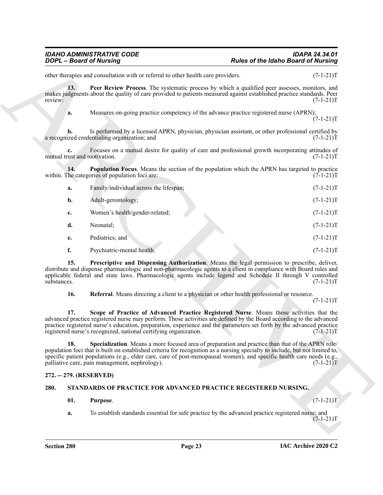<span id="page-22-3"></span><span id="page-22-2"></span>

|                    | <b>DOPL</b> - Board of Nursing                                                                                                                                                                                                                                                                                                                                                                               | <b>Rules of the Idaho Board of Nursing</b> |             |
|--------------------|--------------------------------------------------------------------------------------------------------------------------------------------------------------------------------------------------------------------------------------------------------------------------------------------------------------------------------------------------------------------------------------------------------------|--------------------------------------------|-------------|
|                    | other therapies and consultation with or referral to other health care providers.                                                                                                                                                                                                                                                                                                                            |                                            | $(7-1-21)T$ |
| 13.<br>review:     | Peer Review Process. The systematic process by which a qualified peer assesses, monitors, and<br>makes judgments about the quality of care provided to patients measured against established practice standards. Peer                                                                                                                                                                                        |                                            | $(7-1-21)T$ |
| a.                 | Measures on-going practice competency of the advance practice registered nurse (APRN);                                                                                                                                                                                                                                                                                                                       |                                            | $(7-1-21)T$ |
| b.                 | Is performed by a licensed APRN, physician, physician assistant, or other professional certified by<br>a recognized credentialing organization; and                                                                                                                                                                                                                                                          |                                            | $(7-1-21)T$ |
| c.                 | Focuses on a mutual desire for quality of care and professional growth incorporating attitudes of<br>mutual trust and motivation.                                                                                                                                                                                                                                                                            |                                            | $(7-1-21)T$ |
| 14.                | <b>Population Focus.</b> Means the section of the population which the APRN has targeted to practice<br>within. The categories of population foci are:                                                                                                                                                                                                                                                       |                                            | $(7-1-21)T$ |
| a.                 | Family/individual across the lifespan;                                                                                                                                                                                                                                                                                                                                                                       |                                            | $(7-1-21)T$ |
| b.                 | Adult-gerontology;                                                                                                                                                                                                                                                                                                                                                                                           |                                            | $(7-1-21)T$ |
| c.                 | Women's health/gender-related;                                                                                                                                                                                                                                                                                                                                                                               |                                            | $(7-1-21)T$ |
| d.                 | Neonatal;                                                                                                                                                                                                                                                                                                                                                                                                    |                                            | $(7-1-21)T$ |
| e.                 | Pediatrics; and                                                                                                                                                                                                                                                                                                                                                                                              |                                            | $(7-1-21)T$ |
| f.                 | Psychiatric-mental health.                                                                                                                                                                                                                                                                                                                                                                                   |                                            | $(7-1-21)T$ |
| 15.<br>substances. | Prescriptive and Dispensing Authorization. Means the legal permission to prescribe, deliver,<br>distribute and dispense pharmacologic and non-pharmacologic agents to a client in compliance with Board rules and<br>applicable federal and state laws. Pharmacologic agents include legend and Schedule II through V controlled                                                                             |                                            | $(7-1-21)T$ |
| 16.                | Referral. Means directing a client to a physician or other health professional or resource.                                                                                                                                                                                                                                                                                                                  |                                            | $(7-1-21)T$ |
| 17.                | Scope of Practice of Advanced Practice Registered Nurse. Means those activities that the<br>advanced practice registered nurse may perform. Those activities are defined by the Board according to the advanced<br>practice registered nurse's education, preparation, experience and the parameters set forth by the advanced practice<br>registered nurse's recognized, national certifying organization.  |                                            | $(7-1-21)T$ |
| 18.                | Specialization. Means a more focused area of preparation and practice than that of the APRN role/<br>population foci that is built on established criteria for recognition as a nursing specialty to include, but not limited to,<br>specific patient populations (e.g., elder care, care of post-menopausal women), and specific health care needs (e.g.,<br>palliative care, pain management, nephrology). |                                            | $(7-1-21)T$ |
|                    | 272. -- 279. (RESERVED)                                                                                                                                                                                                                                                                                                                                                                                      |                                            |             |
| 280.               | STANDARDS OF PRACTICE FOR ADVANCED PRACTICE REGISTERED NURSING.                                                                                                                                                                                                                                                                                                                                              |                                            |             |
| 01.                | Purpose.                                                                                                                                                                                                                                                                                                                                                                                                     |                                            | $(7-1-21)T$ |
| a.                 | To establish standards essential for safe practice by the advanced practice registered nurse; and                                                                                                                                                                                                                                                                                                            |                                            | $(7-1-21)T$ |
|                    |                                                                                                                                                                                                                                                                                                                                                                                                              |                                            |             |

#### <span id="page-22-7"></span><span id="page-22-6"></span><span id="page-22-5"></span><span id="page-22-4"></span><span id="page-22-0"></span>**272. -- 279. (RESERVED)**

#### <span id="page-22-1"></span>**280. STANDARDS OF PRACTICE FOR ADVANCED PRACTICE REGISTERED NURSING.**

#### <span id="page-22-9"></span><span id="page-22-8"></span>**01. Purpose**. (7-1-21)T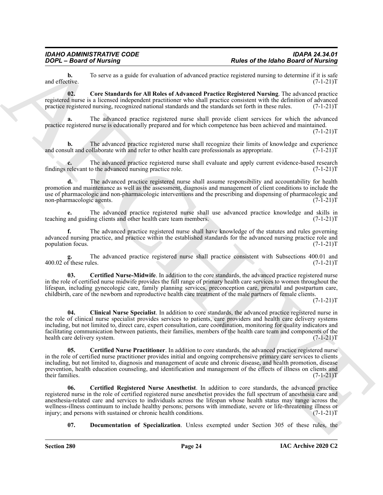**b.** To serve as a guide for evaluation of advanced practice registered nursing to determine if it is safe and effective.  $(7-1-21)T$ and effective. (7-1-21)T

<span id="page-23-4"></span>**02. Core Standards for All Roles of Advanced Practice Registered Nursing**. The advanced practice registered nurse is a licensed independent practitioner who shall practice consistent with the definition of advanced practice registered nursing, recognized national standards and the standards set forth in these rules. (7-1-21)T

**a.** The advanced practice registered nurse shall provide client services for which the advanced practice registered nurse is educationally prepared and for which competence has been achieved and maintained.  $(7-1-21)T$ 

**b.** The advanced practice registered nurse shall recognize their limits of knowledge and experience ult and collaborate with and refer to other health care professionals as appropriate. (7-1-21) and consult and collaborate with and refer to other health care professionals as appropriate.

**c.** The advanced practice registered nurse shall evaluate and apply current evidence-based research relevant to the advanced nursing practice role.  $(7-1-21)$ findings relevant to the advanced nursing practice role.

**d.** The advanced practice registered nurse shall assume responsibility and accountability for health promotion and maintenance as well as the assessment, diagnosis and management of client conditions to include the use of pharmacologic and non-pharmacologic interventions and the prescribing and dispensing of pharmacologic and non-pharmacologic agents. (7-1-21) non-pharmacologic agents.

**e.** The advanced practice registered nurse shall use advanced practice knowledge and skills in and guiding clients and other health care team members. (7-1-21) teaching and guiding clients and other health care team members.

**f.** The advanced practice registered nurse shall have knowledge of the statutes and rules governing advanced nursing practice, and practice within the established standards for the advanced nursing practice role and population focus.

The advanced practice registered nurse shall practice consistent with Subsections 400.01 and<br>Iles. (7-1-21)T  $\frac{g}{400.02}$  of these rules.

<span id="page-23-3"></span><span id="page-23-1"></span>**03. Certified Nurse-Midwife**. In addition to the core standards, the advanced practice registered nurse in the role of certified nurse midwife provides the full range of primary health care services to women throughout the lifespan, including gynecologic care, family planning services, preconception care, prenatal and postpartum care, childbirth, care of the newborn and reproductive health care treatment of the male partners of female clients.

 $(7-1-21)T$ 

**Park of the latinoid Society and the state of the latinoid Euckline and Table and Society and Lifesty.**<br>
Latinoid Euckline Control and the state of the state of the state of the latinoid Society and the state of the stat **04. Clinical Nurse Specialist**. In addition to core standards, the advanced practice registered nurse in the role of clinical nurse specialist provides services to patients, care providers and health care delivery systems including, but not limited to, direct care, expert consultation, care coordination, monitoring for quality indicators and facilitating communication between patients, their families, members of the health care team and components of the health care delivery system. (7-1-21)T

<span id="page-23-0"></span>**05. Certified Nurse Practitioner**. In addition to core standards, the advanced practice registered nurse in the role of certified nurse practitioner provides initial and ongoing comprehensive primary care services to clients including, but not limited to, diagnosis and management of acute and chronic disease, and health promotion, disease prevention, health education counseling, and identification and management of the effects of illness on clients and<br>(7-1-21)T their families.

<span id="page-23-2"></span>**06. Certified Registered Nurse Anesthetist**. In addition to core standards, the advanced practice registered nurse in the role of certified registered nurse anesthetist provides the full spectrum of anesthesia care and anesthesia-related care and services to individuals across the lifespan whose health status may range across the wellness-illness continuum to include healthy persons; persons with immediate, severe or life-threatening illness or injury; and persons with sustained or chronic health conditions. (7-1-21) injury; and persons with sustained or chronic health conditions.

<span id="page-23-5"></span>**07. Documentation of Specialization**. Unless exempted under Section 305 of these rules, the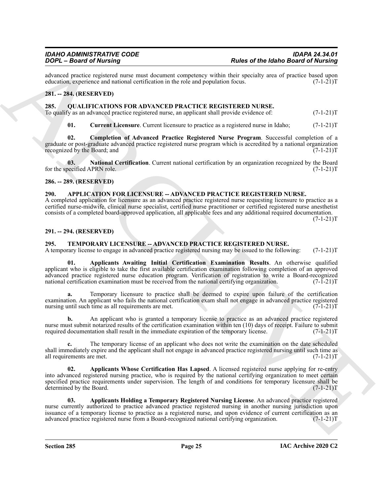advanced practice registered nurse must document competency within their specialty area of practice based upon education, experience and national certification in the role and population focus. (7-1-21)T education, experience and national certification in the role and population focus.

#### <span id="page-24-0"></span>**281. -- 284. (RESERVED)**

<span id="page-24-7"></span><span id="page-24-1"></span>**285. QUALIFICATIONS FOR ADVANCED PRACTICE REGISTERED NURSE.** To qualify as an advanced practice registered nurse, an applicant shall provide evidence of: (7-1-21)T

<span id="page-24-10"></span><span id="page-24-9"></span><span id="page-24-8"></span>**01.** Current Licensure. Current licensure to practice as a registered nurse in Idaho;  $(7-1-21)$ T

**02. Completion of Advanced Practice Registered Nurse Program**. Successful completion of a graduate or post-graduate advanced practice registered nurse program which is accredited by a national organization recognized by the Board; and  $(7-1-21)$ T recognized by the Board; and

**03.** National Certification. Current national certification by an organization recognized by the Board pecified APRN role. (7-1-21)T for the specified APRN role.

#### <span id="page-24-2"></span>**286. -- 289. (RESERVED)**

#### <span id="page-24-6"></span><span id="page-24-3"></span>**290. APPLICATION FOR LICENSURE -- ADVANCED PRACTICE REGISTERED NURSE.**

A completed application for licensure as an advanced practice registered nurse requesting licensure to practice as a certified nurse-midwife, clinical nurse specialist, certified nurse practitioner or certified registered nurse anesthetist consists of a completed board-approved application, all applicable fees and any additional required documentation.

 $(7-1-21)T$ 

#### <span id="page-24-4"></span>**291. -- 294. (RESERVED)**

#### <span id="page-24-11"></span><span id="page-24-5"></span>**295. TEMPORARY LICENSURE -- ADVANCED PRACTICE REGISTERED NURSE.**

<span id="page-24-12"></span>A temporary license to engage in advanced practice registered nursing may be issued to the following: (7-1-21)T

For  $\epsilon = 360$  of Marine particular and the same completes which are of the labor Barrier of March 2018<br>
And the same of March 2018 (1991) and the same of March 2018 (1991) and the same of March 2018 (1991)<br>
28. One of Mar **01. Applicants Awaiting Initial Certification Examination Results**. An otherwise qualified applicant who is eligible to take the first available certification examination following completion of an approved advanced practice registered nurse education program. Verification of registration to write a Board-recognized national certification examination must be received from the national certifying organization. (7-1-21)T national certification examination must be received from the national certifying organization.

**a.** Temporary licensure to practice shall be deemed to expire upon failure of the certification examination. An applicant who fails the national certification exam shall not engage in advanced practice registered nursing until such time as all requirements are met. (7-1-21)T

**b.** An applicant who is granted a temporary license to practice as an advanced practice registered nurse must submit notarized results of the certification examination within ten (10) days of receipt. Failure to submit required documentation shall result in the immediate expiration of the temporary license. (7-1-21)T required documentation shall result in the immediate expiration of the temporary license.

**c.** The temporary license of an applicant who does not write the examination on the date scheduled shall immediately expire and the applicant shall not engage in advanced practice registered nursing until such time as all requirements are met. (7-1-21) all requirements are met.

<span id="page-24-14"></span>**02. Applicants Whose Certification Has Lapsed**. A licensed registered nurse applying for re-entry into advanced registered nursing practice, who is required by the national certifying organization to meet certain specified practice requirements under supervision. The length of and conditions for temporary licensure shall be determined by the Board. (7-1-21)T determined by the Board.

<span id="page-24-13"></span>**03. Applicants Holding a Temporary Registered Nursing License**. An advanced practice registered nurse currently authorized to practice advanced practice registered nursing in another nursing jurisdiction upon issuance of a temporary license to practice as a registered nurse, and upon evidence of current certification as an advanced practice registered nurse from a Board-recognized national certifying organization. (7-1-21)T advanced practice registered nurse from a Board-recognized national certifying organization.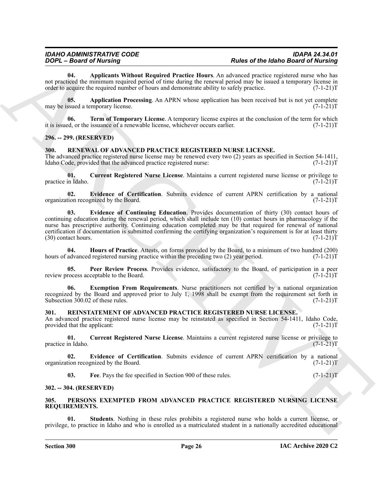<span id="page-25-18"></span>**04. Applicants Without Required Practice Hours**. An advanced practice registered nurse who has not practiced the minimum required period of time during the renewal period may be issued a temporary license in order to acquire the required number of hours and demonstrate ability to safely practice. (7-1-21)T order to acquire the required number of hours and demonstrate ability to safely practice.

<span id="page-25-19"></span>**05. Application Processing**. An APRN whose application has been received but is not yet complete ssued a temporary license. (7-1-21) may be issued a temporary license.

<span id="page-25-20"></span>**06. Term of Temporary License**. A temporary license expires at the conclusion of the term for which ed, or the issuance of a renewable license, whichever occurs earlier. (7-1-21) it is issued, or the issuance of a renewable license, whichever occurs earlier.

#### <span id="page-25-0"></span>**296. -- 299. (RESERVED)**

#### <span id="page-25-11"></span><span id="page-25-1"></span>**300. RENEWAL OF ADVANCED PRACTICE REGISTERED NURSE LICENSE.**

The advanced practice registered nurse license may be renewed every two (2) years as specified in Section 54-1411, Idaho Code, provided that the advanced practice registered nurse: (7-1-21)T

<span id="page-25-12"></span>**01. Current Registered Nurse License**. Maintains a current registered nurse license or privilege to practice in Idaho.

<span id="page-25-14"></span><span id="page-25-13"></span>**02. Evidence of Certification**. Submits evidence of current APRN certification by a national organization recognized by the Board.

**FOOT-BEAMWED** The transformation of the final of the **EDS CONSULTER CONSULTER**<br>
ARCHIVES THE CONSULTER CONSULTER CONSULTER CONSULTER CONSULTER (CASE CONSULTER)<br>
ARCHIVES CONSULTER CONSULTER CONSULTER CONSULTER (CASE CONS **03. Evidence of Continuing Education**. Provides documentation of thirty (30) contact hours of continuing education during the renewal period, which shall include ten (10) contact hours in pharmacology if the nurse has prescriptive authority. Continuing education completed may be that required for renewal of national certification if documentation is submitted confirming the certifying organization's requirement is for at least thirty (30) contact hours.  $(7-1-21)$ T  $(30)$  contact hours.

<span id="page-25-16"></span>**04. Hours of Practice**. Attests, on forms provided by the Board, to a minimum of two hundred (200) advanced registered nursing practice within the preceding two (2) year period. (7-1-21) hours of advanced registered nursing practice within the preceding two (2) year period.

<span id="page-25-17"></span>**05. Peer Review Process**. Provides evidence, satisfactory to the Board, of participation in a peer rocess acceptable to the Board. (7-1-21)T review process acceptable to the Board.

<span id="page-25-15"></span>**06. Exemption From Requirements**. Nurse practitioners not certified by a national organization recognized by the Board and approved prior to July 1, 1998 shall be exempt from the requirement set forth in Subsection 300.02 of these rules. (7-1-21) Subsection  $300.02$  of these rules.

#### <span id="page-25-7"></span><span id="page-25-2"></span>**301. REINSTATEMENT OF ADVANCED PRACTICE REGISTERED NURSE LICENSE.**

An advanced practice registered nurse license may be reinstated as specified in Section 54-1411, Idaho Code, provided that the applicant: (7-1-21)T provided that the applicant:

<span id="page-25-8"></span>**01. Current Registered Nurse License**. Maintains a current registered nurse license or privilege to practice in Idaho.

**02.** Evidence of Certification. Submits evidence of current APRN certification by a national tion recognized by the Board. (7-1-21) organization recognized by the Board.

<span id="page-25-10"></span><span id="page-25-9"></span><span id="page-25-5"></span>**03.** Fee. Pays the fee specified in Section 900 of these rules.  $(7-1-21)T$ 

#### <span id="page-25-3"></span>**302. -- 304. (RESERVED)**

#### <span id="page-25-4"></span>**305. PERSONS EXEMPTED FROM ADVANCED PRACTICE REGISTERED NURSING LICENSE REQUIREMENTS.**

<span id="page-25-6"></span>**01. Students**. Nothing in these rules prohibits a registered nurse who holds a current license, or privilege, to practice in Idaho and who is enrolled as a matriculated student in a nationally accredited educational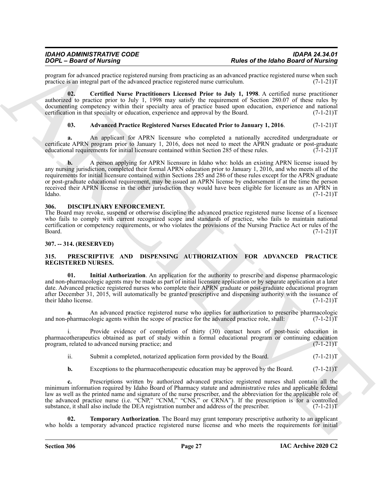## *IDAHO ADMINISTRATIVE CODE IDAPA 24.34.01*

program for advanced practice registered nursing from practicing as an advanced practice registered nurse when such practice is an integral part of the advanced practice registered nurse curriculum. (7-1-21)T practice is an integral part of the advanced practice registered nurse curriculum.

**02. Certified Nurse Practitioners Licensed Prior to July 1, 1998**. A certified nurse practitioner authorized to practice prior to July 1, 1998 may satisfy the requirement of Section 280.07 of these rules by documenting competency within their specialty area of practice based upon education, experience and national certification in that specialty or education, experience and approval by the Board. (7-1-21) certification in that specialty or education, experience and approval by the Board.

#### <span id="page-26-5"></span><span id="page-26-4"></span>**03. Advanced Practice Registered Nurses Educated Prior to January 1, 2016**. (7-1-21)T

**a.** An applicant for APRN licensure who completed a nationally accredited undergraduate or certificate APRN program prior to January 1, 2016, does not need to meet the APRN graduate or post-graduate educational requirements for initial licensure contained within Section 285 of these rules. (7-1-21)T educational requirements for initial licensure contained within Section 285 of these rules.

For  $\alpha$  means of the transformation of the proposition of the state of the labor Barris of the labor Barris of the transformation of the state of the state of the state of the state of the state of the state of the state **b.** A person applying for APRN licensure in Idaho who: holds an existing APRN license issued by any nursing jurisdiction, completed their formal APRN education prior to January 1, 2016, and who meets all of the requirements for initial licensure contained within Sections 285 and 286 of these rules except for the APRN graduate or post-graduate educational requirement, may be issued an APRN license by endorsement if at the time the person received their APRN license in the other jurisdiction they would have been eligible for licensure as an APRN in Idaho. (7-1-21) Idaho. (7-1-21)T

#### <span id="page-26-3"></span><span id="page-26-0"></span>**306. DISCIPLINARY ENFORCEMENT.**

The Board may revoke, suspend or otherwise discipline the advanced practice registered nurse license of a licensee who fails to comply with current recognized scope and standards of practice, who fails to maintain national certification or competency requirements, or who violates the provisions of the Nursing Practice Act or rules of the Board. (7-1-21)T Board. (7-1-21)T

#### <span id="page-26-1"></span>**307. -- 314. (RESERVED)**

#### <span id="page-26-6"></span><span id="page-26-2"></span>**315. PRESCRIPTIVE AND DISPENSING AUTHORIZATION FOR ADVANCED PRACTICE REGISTERED NURSES.**

<span id="page-26-7"></span>**01. Initial Authorization**. An application for the authority to prescribe and dispense pharmacologic and non-pharmacologic agents may be made as part of initial licensure application or by separate application at a later date. Advanced practice registered nurses who complete their APRN graduate or post-graduate educational program after December 31, 2015, will automatically be granted prescriptive and dispensing authority with the issuance of their Idaho license. (7-1-21) their Idaho license.

**a.** An advanced practice registered nurse who applies for authorization to prescribe pharmacologic pharmacologic agents within the scope of practice for the advanced practice role, shall:  $(7-1-21)T$ and non-pharmacologic agents within the scope of practice for the advanced practice role, shall:

i. Provide evidence of completion of thirty (30) contact hours of post-basic education in pharmacotherapeutics obtained as part of study within a formal educational program or continuing education program, related to advanced nursing practice; and  $(7-1-21)$ program, related to advanced nursing practice; and

ii. Submit a completed, notarized application form provided by the Board. (7-1-21) T

**b.** Exceptions to the pharmacotherapeutic education may be approved by the Board.  $(7-1-21)$ T

**c.** Prescriptions written by authorized advanced practice registered nurses shall contain all the minimum information required by Idaho Board of Pharmacy statute and administrative rules and applicable federal law as well as the printed name and signature of the nurse prescriber, and the abbreviation for the applicable role of the advanced practice nurse (i.e. "CNP," "CNM," "CNS," or CRNA"). If the prescription is for a controlled substance, it shall also include the DEA registration number and address of the prescriber. (7-1-21)T

<span id="page-26-8"></span>**02. Temporary Authorization**. The Board may grant temporary prescriptive authority to an applicant who holds a temporary advanced practice registered nurse license and who meets the requirements for initial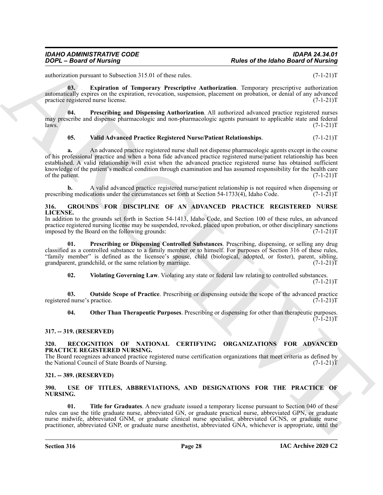authorization pursuant to Subsection 315.01 of these rules. (7-1-21)T

<span id="page-27-10"></span>**03. Expiration of Temporary Prescriptive Authorization**. Temporary prescriptive authorization automatically expires on the expiration, revocation, suspension, placement on probation, or denial of any advanced practice registered nurse license. (7-1-21)T

**04. Prescribing and Dispensing Authorization**. All authorized advanced practice registered nurses may prescribe and dispense pharmacologic and non-pharmacologic agents pursuant to applicable state and federal<br>(7-1-21)T laws.  $(7-1-21)T$ 

#### <span id="page-27-11"></span>**05. Valid Advanced Practice Registered Nurse/Patient Relationships**. (7-1-21)T

**Points of the Identify Constraints of the Identify Constraints of the Identify Constraints of the Identify Constraints of the Internal System and the Internal System and The Internal System and The Internal System and Th a.** An advanced practice registered nurse shall not dispense pharmacologic agents except in the course of his professional practice and when a bona fide advanced practice registered nurse/patient relationship has been established. A valid relationship will exist when the advanced practice registered nurse has obtained sufficient knowledge of the patient's medical condition through examination and has assumed responsibility for the health care<br>(7-1-21)T of the patient.

**b.** A valid advanced practice registered nurse/patient relationship is not required when dispensing or prescribing medications under the circumstances set forth at Section  $54-1733(4)$ , Idaho Code.

#### <span id="page-27-5"></span><span id="page-27-0"></span>**316. GROUNDS FOR DISCIPLINE OF AN ADVANCED PRACTICE REGISTERED NURSE LICENSE.**

In addition to the grounds set forth in Section 54-1413, Idaho Code, and Section 100 of these rules, an advanced practice registered nursing license may be suspended, revoked, placed upon probation, or other disciplinary sanctions<br>(7-1-21)T imposed by the Board on the following grounds:

**01. Prescribing or Dispensing Controlled Substances**. Prescribing, dispensing, or selling any drug classified as a controlled substance to a family member or to himself. For purposes of Section 316 of these rules, "family member" is defined as the licensee's spouse, child (biological, adopted, or foster), parent, sibling, grandparent, grandchild, or the same relation by marriage. (7-1-21) grandparent, grandchild, or the same relation by marriage.

<span id="page-27-9"></span><span id="page-27-8"></span><span id="page-27-7"></span>**02. Violating Governing Law**. Violating any state or federal law relating to controlled substances.

 $(7-1-21)T$ 

**03. Outside Scope of Practice**. Prescribing or dispensing outside the scope of the advanced practice d nurse's practice. registered nurse's practice.

<span id="page-27-6"></span>**04. Other Than Therapeutic Purposes**. Prescribing or dispensing for other than therapeutic purposes.  $(7-1-21)T$ 

#### <span id="page-27-1"></span>**317. -- 319. (RESERVED)**

#### <span id="page-27-12"></span><span id="page-27-2"></span>**320. RECOGNITION OF NATIONAL CERTIFYING ORGANIZATIONS FOR ADVANCED PRACTICE REGISTERED NURSING.**

The Board recognizes advanced practice registered nurse certification organizations that meet criteria as defined by the National Council of State Boards of Nursing. (7-1-21)T

#### <span id="page-27-3"></span>**321. -- 389. (RESERVED)**

#### <span id="page-27-13"></span><span id="page-27-4"></span>**390. USE OF TITLES, ABBREVIATIONS, AND DESIGNATIONS FOR THE PRACTICE OF NURSING.**

<span id="page-27-14"></span>**01. Title for Graduates**. A new graduate issued a temporary license pursuant to Section 040 of these rules can use the title graduate nurse, abbreviated GN, or graduate practical nurse, abbreviated GPN, or graduate nurse midwife, abbreviated GNM, or graduate clinical nurse specialist, abbreviated GCNS, or graduate nurse practitioner, abbreviated GNP, or graduate nurse anesthetist, abbreviated GNA, whichever is appropriate, until the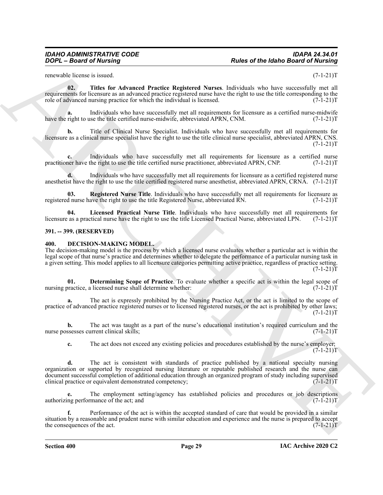<span id="page-28-6"></span>renewable license is issued. (7-1-21)T

**02. Titles for Advanced Practice Registered Nurses**. Individuals who have successfully met all requirements for licensure as an advanced practice registered nurse have the right to use the title corresponding to the role of advanced nursing practice for which the individual is licensed. (7-1-21)T

**a.** Individuals who have successfully met all requirements for licensure as a certified nurse-midwife right to use the title certified nurse-midwife, abbreviated APRN, CNM. (7-1-21)<sup>T</sup> have the right to use the title certified nurse-midwife, abbreviated APRN, CNM.

**b.** Title of Clinical Nurse Specialist. Individuals who have successfully met all requirements for licensure as a clinical nurse specialist have the right to use the title clinical nurse specialist, abbreviated APRN, CNS.  $(7-1-21)T$ 

**c.** Individuals who have successfully met all requirements for licensure as a certified nurse practitioner have the right to use the title certified nurse practitioner, abbreviated APRN, CNP. (7-1-21)T

**d.** Individuals who have successfully met all requirements for licensure as a certified registered nurse anesthetist have the right to use the title certified registered nurse anesthetist, abbreviated APRN, CRNA. (7-1-21)T

<span id="page-28-5"></span>**03. Registered Nurse Title**. Individuals who have successfully met all requirements for licensure as registered nurse have the right to use the title Registered Nurse, abbreviated RN. (7-1-21)T

<span id="page-28-4"></span>**04.** Licensed Practical Nurse Title. Individuals who have successfully met all requirements for as a practical nurse have the right to use the title Licensed Practical Nurse, abbreviated LPN. (7-1-21)T licensure as a practical nurse have the right to use the title Licensed Practical Nurse, abbreviated LPN.

#### <span id="page-28-0"></span>**391. -- 399. (RESERVED)**

#### <span id="page-28-2"></span><span id="page-28-1"></span>**400. DECISION-MAKING MODEL.**

The decision-making model is the process by which a licensed nurse evaluates whether a particular act is within the legal scope of that nurse's practice and determines whether to delegate the performance of a particular nursing task in a given setting. This model applies to all licensure categories permitting active practice, regardless of practice setting.  $(7-1-21)T$ 

<span id="page-28-3"></span>**01. Determining Scope of Practice**. To evaluate whether a specific act is within the legal scope of practice, a licensed nurse shall determine whether:  $(7-1-21)$ nursing practice, a licensed nurse shall determine whether:

**a.** The act is expressly prohibited by the Nursing Practice Act, or the act is limited to the scope of practice of advanced practice registered nurses or to licensed registered nurses, or the act is prohibited by other laws;  $(7-1-21)T$ 

**b.** The act was taught as a part of the nurse's educational institution's required curriculum and the nurse possesses current clinical skills; (7-1-21)T

**c.** The act does not exceed any existing policies and procedures established by the nurse's employer;  $(7-1-21)T$ 

Points of the Identical Society of the Identical Society of the Identical Society of the Identical Society of the Internal Society of the Internal Society of the Internal Society of the Internal Society of the Internal So **d.** The act is consistent with standards of practice published by a national specialty nursing organization or supported by recognized nursing literature or reputable published research and the nurse can document successful completion of additional education through an organized program of study including supervised<br>clinical practice or equivalent demonstrated competency; (7-1-21) clinical practice or equivalent demonstrated competency;

**e.** The employment setting/agency has established policies and procedures or job descriptions ing performance of the act; and  $(7-1-21)$ authorizing performance of the act; and

**f.** Performance of the act is within the accepted standard of care that would be provided in a similar situation by a reasonable and prudent nurse with similar education and experience and the nurse is prepared to accept<br>the consequences of the act. (7-1-21)T the consequences of the act.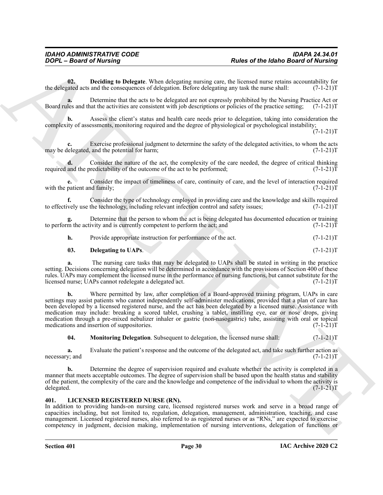<span id="page-29-1"></span>**02. Deciding to Delegate**. When delegating nursing care, the licensed nurse retains accountability for rated acts and the consequences of delegation. Before delegating any task the nurse shall:  $(7-1-21)T$ the delegated acts and the consequences of delegation. Before delegating any task the nurse shall:

**a.** Determine that the acts to be delegated are not expressly prohibited by the Nursing Practice Act or Board rules and that the activities are consistent with job descriptions or policies of the practice setting; (7-1-21)T

**b.** Assess the client's status and health care needs prior to delegation, taking into consideration the complexity of assessments, monitoring required and the degree of physiological or psychological instability;

 $(7-1-21)T$ 

Exercise professional judgment to determine the safety of the delegated activities, to whom the acts and the potential for harm;  $(7-1-21)$ may be delegated, and the potential for harm;

**d.** Consider the nature of the act, the complexity of the care needed, the degree of critical thinking and the predictability of the outcome of the act to be performed;  $(7-1-21)$ required and the predictability of the outcome of the act to be performed;

**e.** Consider the impact of timeliness of care, continuity of care, and the level of interaction required with the patient and family;  $(7-1-21)$ T

**f.** Consider the type of technology employed in providing care and the knowledge and skills required vely use the technology, including relevant infection control and safety issues;  $(7-1-21)$ to effectively use the technology, including relevant infection control and safety issues;

**g.** Determine that the person to whom the act is being delegated has documented education or training to perform the activity and is currently competent to perform the act; and  $(7-1-21)$ T

**h.** Provide appropriate instruction for performance of the act.  $(7-1-21)T$ 

#### **03.** Delegating to UAPs. (7-1-21)T

**a.** The nursing care tasks that may be delegated to UAPs shall be stated in writing in the practice setting. Decisions concerning delegation will be determined in accordance with the provisions of Section 400 of these rules. UAPs may complement the licensed nurse in the performance of nursing functions, but cannot substitute for the licensed nurse; UAPs cannot redelegate a delegated act. (7-1-21)T

Posite of the Idabee distribution of Posite and Relation Based of Neumanni Control of the Idabee Based of Neumanni Control of the International Control of the International Control of the International Control of the Inte **b.** Where permitted by law, after completion of a Board-approved training program, UAPs in care settings may assist patients who cannot independently self-administer medications, provided that a plan of care has been developed by a licensed registered nurse, and the act has been delegated by a licensed nurse. Assistance with medication may include: breaking a scored tablet, crushing a tablet, instilling eye, ear or nose drops, giving medication through a pre-mixed nebulizer inhaler or gastric (non-nasogastric) tube, assisting with oral or topical<br>medications and insertion of suppositories. (7-1-21)T medications and insertion of suppositories.

<span id="page-29-2"></span>**04. Monitoring Delegation**. Subsequent to delegation, the licensed nurse shall:  $(7-1-21)T$ 

**a.** Evaluate the patient's response and the outcome of the delegated act, and take such further action as y; and  $(7-1-21)T$ necessary; and

**b.** Determine the degree of supervision required and evaluate whether the activity is completed in a manner that meets acceptable outcomes. The degree of supervision shall be based upon the health status and stability of the patient, the complexity of the care and the knowledge and competence of the individual to whom the activity is delegated.  $(7-1-21)T$ delegated. (7-1-21)T

#### <span id="page-29-3"></span><span id="page-29-0"></span>**401. LICENSED REGISTERED NURSE (RN).**

In addition to providing hands-on nursing care, licensed registered nurses work and serve in a broad range of capacities including, but not limited to, regulation, delegation, management, administration, teaching, and case management. Licensed registered nurses, also referred to as registered nurses or as "RNs," are expected to exercise competency in judgment, decision making, implementation of nursing interventions, delegation of functions or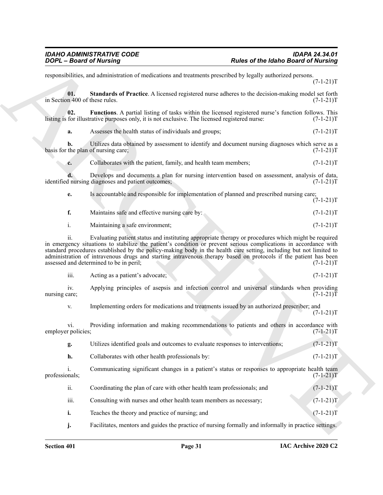<span id="page-30-1"></span><span id="page-30-0"></span>**Packer of the Interior General of Nutrings<br>
Archives of the Interior General of Persision can be commute procedure for the Interior General of Nutring<br>
Archives the Control of Technical of Persision can be considered and** responsibilities, and administration of medications and treatments prescribed by legally authorized persons.  $(7-1-21)T$ **01.** Standards of Practice. A licensed registered nurse adheres to the decision-making model set forth m 400 of these rules. (7-1-21)T in Section 400 of these rules. **02.** Functions. A partial listing of tasks within the licensed registered nurse's function follows. This for illustrative purposes only, it is not exclusive. The licensed registered nurse:  $(7-1-21)$ listing is for illustrative purposes only, it is not exclusive. The licensed registered nurse: **a.** Assesses the health status of individuals and groups;  $(7-1-21)$ T **b.** Utilizes data obtained by assessment to identify and document nursing diagnoses which serve as a the plan of nursing care;  $(7-1-21)$ basis for the plan of nursing care; **c.** Collaborates with the patient, family, and health team members; (7-1-21)T **d.** Develops and documents a plan for nursing intervention based on assessment, analysis of data, inursing diagnoses and patient outcomes;  $(7-1-21)$ identified nursing diagnoses and patient outcomes; **e.** Is accountable and responsible for implementation of planned and prescribed nursing care;  $(7-1-21)T$ **f.** Maintains safe and effective nursing care by:  $(7-1-21)$ T i. Maintaining a safe environment; (7-1-21) T ii. Evaluating patient status and instituting appropriate therapy or procedures which might be required in emergency situations to stabilize the patient's condition or prevent serious complications in accordance with standard procedures established by the policy-making body in the health care setting, including but not limited to administration of intravenous drugs and starting intravenous therapy based on protocols if the patient has been<br>assessed and determined to be in peril;  $(7-1-21)$ assessed and determined to be in peril; iii. Acting as a patient's advocate;  $(7-1-21)T$ iv. Applying principles of asepsis and infection control and universal standards when providing care; (7-1-21)T nursing care; (7-1-21)T v. Implementing orders for medications and treatments issued by an authorized prescriber; and  $(7-1-21)T$ vi. Providing information and making recommendations to patients and others in accordance with r policies; (7-1-21) employer policies; **g.** Utilizes identified goals and outcomes to evaluate responses to interventions; (7-1-21)T **h.** Collaborates with other health professionals by: (7-1-21)T i. Communicating significant changes in a patient's status or responses to appropriate health team<br>(7-1-21)T professionals; ii. Coordinating the plan of care with other health team professionals; and (7-1-21)T iii. Consulting with nurses and other health team members as necessary;  $(7-1-21)$ T **i.** Teaches the theory and practice of nursing; and  $(7-1-21)$ T

**j.** Facilitates, mentors and guides the practice of nursing formally and informally in practice settings.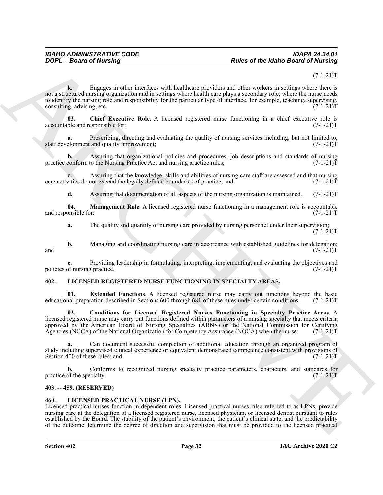#### $(7-1-21)T$

Points of the Idabe Barrel of the Idabe and the Idabe and of the Idabe Barri of Numerical Control of the Internal Control of the Internal Control of the Internal Control of the Internal Control of the Internal Control of **k.** Engages in other interfaces with healthcare providers and other workers in settings where there is not a structured nursing organization and in settings where health care plays a secondary role, where the nurse needs to identify the nursing role and responsibility for the particular type of interface, for example, teaching, supervising, consulting, advising, etc.  $(7-1-21)$ consulting, advising, etc.

<span id="page-31-4"></span>**03.** Chief Executive Role. A licensed registered nurse functioning in a chief executive role is ble and responsible for:  $(7-1-21)T$ accountable and responsible for:

**a.** Prescribing, directing and evaluating the quality of nursing services including, but not limited to, elopment and quality improvement; staff development and quality improvement;

**b.** Assuring that organizational policies and procedures, job descriptions and standards of nursing practice conform to the Nursing Practice Act and nursing practice rules;  $(7-1-21)$ T

**c.** Assuring that the knowledge, skills and abilities of nursing care staff are assessed and that nursing vities do not exceed the legally defined boundaries of practice; and  $(7-1-21)$ care activities do not exceed the legally defined boundaries of practice; and

<span id="page-31-5"></span>**d.** Assuring that documentation of all aspects of the nursing organization is maintained. (7-1-21)T

**04.** Management Role. A licensed registered nurse functioning in a management role is accountable onsible for:  $(7-1-21)T$ and responsible for:

**a.** The quality and quantity of nursing care provided by nursing personnel under their supervision;  $(7-1-21)T$ 

**b.** Managing and coordinating nursing care in accordance with established guidelines for delegation;  $(7-1-21)T$ and  $(7-1-21)$ T

**c.** Providing leadership in formulating, interpreting, implementing, and evaluating the objectives and of nursing practice. (7-1-21)T policies of nursing practice.

#### <span id="page-31-6"></span><span id="page-31-0"></span>**402. LICENSED REGISTERED NURSE FUNCTIONING IN SPECIALTY AREAS.**

<span id="page-31-8"></span>**01. Extended Functions**. A licensed registered nurse may carry out functions beyond the basic nal preparation described in Sections 600 through 681 of these rules under certain conditions. (7-1-21) educational preparation described in Sections 600 through 681 of these rules under certain conditions.

<span id="page-31-7"></span>**02. Conditions for Licensed Registered Nurses Functioning in Specialty Practice Areas**. A licensed registered nurse may carry out functions defined within parameters of a nursing specialty that meets criteria approved by the American Board of Nursing Specialties (ABNS) or the National Commission for Certifying Agencies (NCCA) of the National Organization for Competency Assurance (NOCA) when the nurse: (7-1-21)T

**a.** Can document successful completion of additional education through an organized program of study including supervised clinical experience or equivalent demonstrated competence consistent with provisions of<br>Section 400 of these rules; and  $(7-1-21)$ Section 400 of these rules; and

**b.** Conforms to recognized nursing specialty practice parameters, characters, and standards for practice of the specialty.  $(7-1-21)T$ 

#### <span id="page-31-1"></span>**403. -- 459. (RESERVED)**

#### <span id="page-31-3"></span><span id="page-31-2"></span>**460. LICENSED PRACTICAL NURSE (LPN).**

Licensed practical nurses function in dependent roles. Licensed practical nurses, also referred to as LPNs, provide nursing care at the delegation of a licensed registered nurse, licensed physician, or licensed dentist pursuant to rules established by the Board. The stability of the patient's environment, the patient's clinical state, and the predictability of the outcome determine the degree of direction and supervision that must be provided to the licensed practical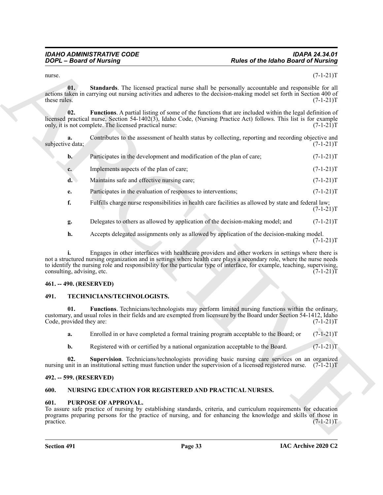<span id="page-32-6"></span><span id="page-32-5"></span>

|                                 | <b>DOPL</b> - Board of Nursing                                                                                                                                                                                                                                                                                                                           | <b>Rules of the Idaho Board of Nursing</b> |             |
|---------------------------------|----------------------------------------------------------------------------------------------------------------------------------------------------------------------------------------------------------------------------------------------------------------------------------------------------------------------------------------------------------|--------------------------------------------|-------------|
| nurse.                          |                                                                                                                                                                                                                                                                                                                                                          |                                            | $(7-1-21)T$ |
| 01.<br>these rules.             | Standards. The licensed practical nurse shall be personally accountable and responsible for all<br>actions taken in carrying out nursing activities and adheres to the decision-making model set forth in Section 400 of                                                                                                                                 |                                            | $(7-1-21)T$ |
| 02.                             | Functions. A partial listing of some of the functions that are included within the legal definition of<br>licensed practical nurse, Section 54-1402(3), Idaho Code, (Nursing Practice Act) follows. This list is for example<br>only, it is not complete. The licensed practical nurse:                                                                  |                                            | $(7-1-21)T$ |
| a.<br>subjective data;          | Contributes to the assessment of health status by collecting, reporting and recording objective and                                                                                                                                                                                                                                                      |                                            | $(7-1-21)T$ |
| $\mathbf{b}$ .                  | Participates in the development and modification of the plan of care;                                                                                                                                                                                                                                                                                    |                                            | $(7-1-21)T$ |
| $c_{\cdot}$                     | Implements aspects of the plan of care;                                                                                                                                                                                                                                                                                                                  |                                            | $(7-1-21)T$ |
| $\mathbf{d}$ .                  | Maintains safe and effective nursing care;                                                                                                                                                                                                                                                                                                               |                                            | $(7-1-21)T$ |
| е.                              | Participates in the evaluation of responses to interventions;                                                                                                                                                                                                                                                                                            |                                            | $(7-1-21)T$ |
| f.                              | Fulfills charge nurse responsibilities in health care facilities as allowed by state and federal law;                                                                                                                                                                                                                                                    |                                            | $(7-1-21)T$ |
| g.                              | Delegates to others as allowed by application of the decision-making model; and                                                                                                                                                                                                                                                                          |                                            | $(7-1-21)T$ |
| h.                              | Accepts delegated assignments only as allowed by application of the decision-making model.                                                                                                                                                                                                                                                               |                                            | $(7-1-21)T$ |
| consulting, advising, etc.      | Engages in other interfaces with healthcare providers and other workers in settings where there is<br>not a structured nursing organization and in settings where health care plays a secondary role, where the nurse needs<br>to identify the nursing role and responsibility for the particular type of interface, for example, teaching, supervising, |                                            | $(7-1-21)T$ |
| 461. -- 490. (RESERVED)         |                                                                                                                                                                                                                                                                                                                                                          |                                            |             |
| 491.                            | TECHNICIANS/TECHNOLOGISTS.                                                                                                                                                                                                                                                                                                                               |                                            |             |
| 01.<br>Code, provided they are: | Functions. Technicians/technologists may perform limited nursing functions within the ordinary,<br>customary, and usual roles in their fields and are exempted from licensure by the Board under Section 54-1412, Idaho                                                                                                                                  |                                            | $(7-1-21)T$ |
| a.                              | Enrolled in or have completed a formal training program acceptable to the Board; or                                                                                                                                                                                                                                                                      |                                            | $(7-1-21)T$ |
| $\mathbf{b}$ .                  | Registered with or certified by a national organization acceptable to the Board.                                                                                                                                                                                                                                                                         |                                            | $(7-1-21)T$ |
| 02.                             | Supervision. Technicians/technologists providing basic nursing care services on an organized<br>nursing unit in an institutional setting must function under the supervision of a licensed registered nurse.                                                                                                                                             |                                            | $(7-1-21)T$ |
| 492. -- 599. (RESERVED)         |                                                                                                                                                                                                                                                                                                                                                          |                                            |             |
| 600.                            | <b>NURSING EDUCATION FOR REGISTERED AND PRACTICAL NURSES.</b>                                                                                                                                                                                                                                                                                            |                                            |             |
| 601.<br>practice.               | PURPOSE OF APPROVAL.<br>To assure safe practice of nursing by establishing standards, criteria, and curriculum requirements for education<br>programs preparing persons for the practice of nursing, and for enhancing the knowledge and skills of those in                                                                                              |                                            | $(7-1-21)T$ |

#### <span id="page-32-0"></span>**461. -- 490. (RESERVED)**

#### <span id="page-32-10"></span><span id="page-32-9"></span><span id="page-32-1"></span>**491. TECHNICIANS/TECHNOLOGISTS.**

#### <span id="page-32-11"></span><span id="page-32-2"></span>**492. -- 599. (RESERVED)**

#### <span id="page-32-7"></span><span id="page-32-3"></span>**600. NURSING EDUCATION FOR REGISTERED AND PRACTICAL NURSES.**

#### <span id="page-32-8"></span><span id="page-32-4"></span>**601. PURPOSE OF APPROVAL.**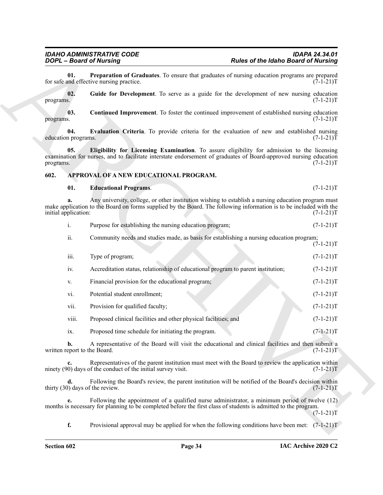#### <span id="page-33-3"></span><span id="page-33-0"></span>**602. APPROVAL OF A NEW EDUCATIONAL PROGRAM.**

#### <span id="page-33-5"></span><span id="page-33-4"></span><span id="page-33-2"></span><span id="page-33-1"></span>**01. Educational Programs**. (7-1-21)T

|  | Purpose for establishing the nursing education program: | $(7-1-21)T$ |
|--|---------------------------------------------------------|-------------|
|  |                                                         |             |

<span id="page-33-7"></span><span id="page-33-6"></span>

|                            | <b>DOPL - Board of Nursing</b>                                                                   | <b>Rules of the Idaho Board of Nursing</b>                                                                                                                                                                                |             |
|----------------------------|--------------------------------------------------------------------------------------------------|---------------------------------------------------------------------------------------------------------------------------------------------------------------------------------------------------------------------------|-------------|
| 01.                        | for safe and effective nursing practice.                                                         | Preparation of Graduates. To ensure that graduates of nursing education programs are prepared                                                                                                                             | $(7-1-21)T$ |
| 02.<br>programs.           |                                                                                                  | Guide for Development. To serve as a guide for the development of new nursing education                                                                                                                                   | $(7-1-21)T$ |
| 03.<br>programs.           |                                                                                                  | Continued Improvement. To foster the continued improvement of established nursing education                                                                                                                               | $(7-1-21)T$ |
| 04.<br>education programs. |                                                                                                  | Evaluation Criteria. To provide criteria for the evaluation of new and established nursing                                                                                                                                | $(7-1-21)T$ |
| 05.<br>programs.           |                                                                                                  | Eligibility for Licensing Examination. To assure eligibility for admission to the licensing<br>examination for nurses, and to facilitate interstate endorsement of graduates of Board-approved nursing education          | $(7-1-21)T$ |
| 602.                       | APPROVAL OF A NEW EDUCATIONAL PROGRAM.                                                           |                                                                                                                                                                                                                           |             |
| 01.                        | <b>Educational Programs.</b>                                                                     |                                                                                                                                                                                                                           | $(7-1-21)T$ |
| a.<br>initial application: |                                                                                                  | Any university, college, or other institution wishing to establish a nursing education program must<br>make application to the Board on forms supplied by the Board. The following information is to be included with the | $(7-1-21)T$ |
| i.                         | Purpose for establishing the nursing education program;                                          |                                                                                                                                                                                                                           | $(7-1-21)T$ |
| ii.                        |                                                                                                  | Community needs and studies made, as basis for establishing a nursing education program;                                                                                                                                  | $(7-1-21)T$ |
| iii.                       | Type of program;                                                                                 |                                                                                                                                                                                                                           | $(7-1-21)T$ |
| iv.                        |                                                                                                  | Accreditation status, relationship of educational program to parent institution;                                                                                                                                          | $(7-1-21)T$ |
| V.                         | Financial provision for the educational program;                                                 |                                                                                                                                                                                                                           | $(7-1-21)T$ |
| vi.                        | Potential student enrollment;                                                                    |                                                                                                                                                                                                                           | $(7-1-21)T$ |
| vii.                       | Provision for qualified faculty;                                                                 |                                                                                                                                                                                                                           | $(7-1-21)T$ |
| viii.                      | Proposed clinical facilities and other physical facilities; and                                  |                                                                                                                                                                                                                           | $(7-1-21)T$ |
| ix.                        | Proposed time schedule for initiating the program.                                               |                                                                                                                                                                                                                           | $(7-1-21)T$ |
| $\mathbf{b}$ .             | written report to the Board.                                                                     | A representative of the Board will visit the educational and clinical facilities and then submit a                                                                                                                        | $(7-1-21)T$ |
| c.                         | ninety (90) days of the conduct of the initial survey visit.                                     | Representatives of the parent institution must meet with the Board to review the application within                                                                                                                       | $(7-1-21)T$ |
| d.                         | thirty (30) days of the review.                                                                  | Following the Board's review, the parent institution will be notified of the Board's decision within                                                                                                                      | $(7-1-21)T$ |
| e.                         |                                                                                                  | Following the appointment of a qualified nurse administrator, a minimum period of twelve (12)<br>months is necessary for planning to be completed before the first class of students is admitted to the program.          | $(7-1-21)T$ |
|                            | Provisional approval may be applied for when the following conditions have been met: $(7-1-21)T$ |                                                                                                                                                                                                                           |             |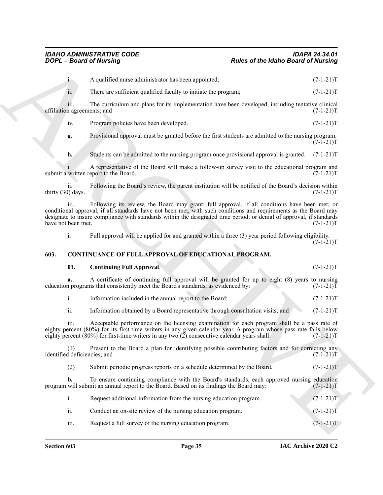|      |                            | <b>Rules of the Idaho Board of Nursing</b><br><b>DOPL - Board of Nursing</b>                                                                                                                                                                                                                                                              |                                                                                                                                                    |
|------|----------------------------|-------------------------------------------------------------------------------------------------------------------------------------------------------------------------------------------------------------------------------------------------------------------------------------------------------------------------------------------|----------------------------------------------------------------------------------------------------------------------------------------------------|
|      | $\mathbf{i}$ .             | A qualified nurse administrator has been appointed;                                                                                                                                                                                                                                                                                       | $(7-1-21)T$                                                                                                                                        |
|      | ii.                        | There are sufficient qualified faculty to initiate the program;                                                                                                                                                                                                                                                                           | $(7-1-21)T$                                                                                                                                        |
|      | 111.                       | The curriculum and plans for its implementation have been developed, including tentative clinical<br>affiliation agreements; and                                                                                                                                                                                                          | $(7-1-21)T$                                                                                                                                        |
|      | 1V.                        | Program policies have been developed.                                                                                                                                                                                                                                                                                                     | $(7-1-21)T$                                                                                                                                        |
|      | g.                         | Provisional approval must be granted before the first students are admitted to the nursing program.                                                                                                                                                                                                                                       | $(7-1-21)T$                                                                                                                                        |
|      | h.                         | Students can be admitted to the nursing program once provisional approval is granted.                                                                                                                                                                                                                                                     | $(7-1-21)T$                                                                                                                                        |
|      |                            | A representative of the Board will make a follow-up survey visit to the educational program and<br>submit a written report to the Board.                                                                                                                                                                                                  | $(7-1-21)T$                                                                                                                                        |
|      | 11.<br>thirty (30) days.   | Following the Board's review, the parent institution will be notified of the Board's decision within                                                                                                                                                                                                                                      | $(7-1-21)T$                                                                                                                                        |
|      | 111.<br>have not been met. | Following its review, the Board may grant: full approval, if all conditions have been met; or<br>conditional approval, if all standards have not been met, with such conditions and requirements as the Board may<br>designate to insure compliance with standards within the designated time period; or denial of approval, if standards | $(7-1-21)T$                                                                                                                                        |
|      | i.                         | Full approval will be applied for and granted within a three (3) year period following eligibility.                                                                                                                                                                                                                                       |                                                                                                                                                    |
|      |                            |                                                                                                                                                                                                                                                                                                                                           |                                                                                                                                                    |
| 603. |                            | <b>CONTINUANCE OF FULL APPROVAL OF EDUCATIONAL PROGRAM.</b>                                                                                                                                                                                                                                                                               |                                                                                                                                                    |
|      | 01.                        | <b>Continuing Full Approval.</b>                                                                                                                                                                                                                                                                                                          |                                                                                                                                                    |
|      | a.                         | A certificate of continuing full approval will be granted for up to eight (8) years to nursing<br>education programs that consistently meet the Board's standards, as evidenced by:                                                                                                                                                       |                                                                                                                                                    |
|      | i.                         | Information included in the annual report to the Board;                                                                                                                                                                                                                                                                                   |                                                                                                                                                    |
|      | ii.                        | Information obtained by a Board representative through consultation visits; and                                                                                                                                                                                                                                                           |                                                                                                                                                    |
|      | iii.                       | Acceptable performance on the licensing examination for each program shall be a pass rate of<br>eighty percent (80%) for its first-time writers in any given calendar year. A program whose pass rate falls below<br>eighty percent $(80\%)$ for first-time writers in any two $(2)$ consecutive calendar years shall: $(7-1-21)T$        |                                                                                                                                                    |
|      | (1)                        | Present to the Board a plan for identifying possible contributing factors and for correcting any<br>identified deficiencies; and                                                                                                                                                                                                          |                                                                                                                                                    |
|      | (2)                        | Submit periodic progress reports on a schedule determined by the Board.                                                                                                                                                                                                                                                                   |                                                                                                                                                    |
|      | b.                         | To ensure continuing compliance with the Board's standards, each approved nursing education<br>program will submit an annual report to the Board. Based on its findings the Board may:                                                                                                                                                    |                                                                                                                                                    |
|      | i.                         | Request additional information from the nursing education program.                                                                                                                                                                                                                                                                        |                                                                                                                                                    |
|      | ii.                        | Conduct an on-site review of the nursing education program.                                                                                                                                                                                                                                                                               | $(7-1-21)T$<br>$(7-1-21)T$<br>$(7-1-21)T$<br>$(7-1-21)T$<br>$(7-1-21)T$<br>$(7-1-21)T$<br>$(7-1-21)T$<br>$(7-1-21)T$<br>$(7-1-21)T$<br>$(7-1-21)T$ |

#### <span id="page-34-0"></span>**603. CONTINUANCE OF FULL APPROVAL OF EDUCATIONAL PROGRAM.**

#### <span id="page-34-1"></span>**01. Continuing Full Approval**. (7-1-21)T

| Information included in the annual report to the Board: |  |  |
|---------------------------------------------------------|--|--|
|                                                         |  |  |

| Submit periodic progress reports on a schedule determined by the Board. | $(7-1-21)T$ |
|-------------------------------------------------------------------------|-------------|
|                                                                         |             |
|                                                                         |             |

|      | Request additional information from the nursing education program. | $(7-1-21)T$ |
|------|--------------------------------------------------------------------|-------------|
| ii.  | Conduct an on-site review of the nursing education program.        | $(7-1-21)T$ |
| iii. | Request a full survey of the nursing education program.            | $(7-1-21)T$ |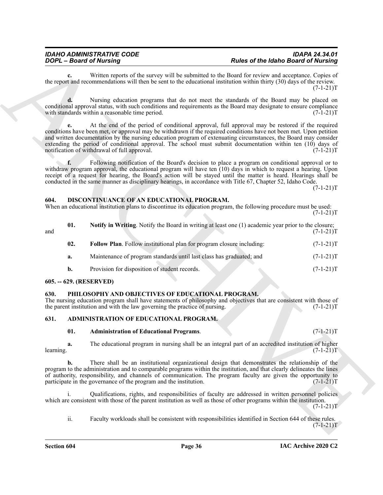## *IDAHO ADMINISTRATIVE CODE IDAPA 24.34.01*

#### <span id="page-35-7"></span><span id="page-35-6"></span><span id="page-35-5"></span><span id="page-35-0"></span>**604. DISCONTINUANCE OF AN EDUCATIONAL PROGRAM.**

|                         | <b>DOPL - Board of Nursing</b>                                                                                                                                                                                                                                                                                                                                                                                                                                                                         | <b>Rules of the Idaho Board of Nursing</b> |             |
|-------------------------|--------------------------------------------------------------------------------------------------------------------------------------------------------------------------------------------------------------------------------------------------------------------------------------------------------------------------------------------------------------------------------------------------------------------------------------------------------------------------------------------------------|--------------------------------------------|-------------|
| c.                      | Written reports of the survey will be submitted to the Board for review and acceptance. Copies of<br>the report and recommendations will then be sent to the educational institution within thirty (30) days of the review.                                                                                                                                                                                                                                                                            |                                            | $(7-1-21)T$ |
| d.                      | Nursing education programs that do not meet the standards of the Board may be placed on<br>conditional approval status, with such conditions and requirements as the Board may designate to ensure compliance<br>with standards within a reasonable time period.                                                                                                                                                                                                                                       |                                            | $(7-1-21)T$ |
| е.                      | At the end of the period of conditional approval, full approval may be restored if the required<br>conditions have been met, or approval may be withdrawn if the required conditions have not been met. Upon petition<br>and written documentation by the nursing education program of extenuating circumstances, the Board may consider<br>extending the period of conditional approval. The school must submit documentation within ten (10) days of<br>notification of withdrawal of full approval. |                                            | $(7-1-21)T$ |
| f.                      | Following notification of the Board's decision to place a program on conditional approval or to<br>withdraw program approval, the educational program will have ten (10) days in which to request a hearing. Upon<br>receipt of a request for hearing, the Board's action will be stayed until the matter is heard. Hearings shall be<br>conducted in the same manner as disciplinary hearings, in accordance with Title 67, Chapter 52, Idaho Code.                                                   |                                            | $(7-1-21)T$ |
| 604.                    | DISCONTINUANCE OF AN EDUCATIONAL PROGRAM.<br>When an educational institution plans to discontinue its education program, the following procedure must be used:                                                                                                                                                                                                                                                                                                                                         |                                            | $(7-1-21)T$ |
| 01.<br>and              | Notify in Writing. Notify the Board in writing at least one (1) academic year prior to the closure;                                                                                                                                                                                                                                                                                                                                                                                                    |                                            | $(7-1-21)T$ |
| 02.                     | Follow Plan. Follow institutional plan for program closure including:                                                                                                                                                                                                                                                                                                                                                                                                                                  |                                            | $(7-1-21)T$ |
| a.                      | Maintenance of program standards until last class has graduated; and                                                                                                                                                                                                                                                                                                                                                                                                                                   |                                            | $(7-1-21)T$ |
| b.                      | Provision for disposition of student records.                                                                                                                                                                                                                                                                                                                                                                                                                                                          |                                            | $(7-1-21)T$ |
| 605. -- 629. (RESERVED) |                                                                                                                                                                                                                                                                                                                                                                                                                                                                                                        |                                            |             |
| 630.                    | PHILOSOPHY AND OBJECTIVES OF EDUCATIONAL PROGRAM.<br>The nursing education program shall have statements of philosophy and objectives that are consistent with those of<br>the parent institution and with the law governing the practice of nursing.                                                                                                                                                                                                                                                  |                                            | $(7-1-21)T$ |
| 631.                    | ADMINISTRATION OF EDUCATIONAL PROGRAM.                                                                                                                                                                                                                                                                                                                                                                                                                                                                 |                                            |             |
| 01.                     | <b>Administration of Educational Programs.</b>                                                                                                                                                                                                                                                                                                                                                                                                                                                         |                                            | $(7-1-21)T$ |
| a.                      | The educational program in nursing shall be an integral part of an accredited institution of higher                                                                                                                                                                                                                                                                                                                                                                                                    |                                            | $(7-1-21)T$ |
| learning.               |                                                                                                                                                                                                                                                                                                                                                                                                                                                                                                        |                                            |             |
| b.                      | There shall be an institutional organizational design that demonstrates the relationship of the<br>program to the administration and to comparable programs within the institution, and that clearly delineates the lines<br>of authority, responsibility, and channels of communication. The program faculty are given the opportunity to<br>participate in the governance of the program and the institution.                                                                                        |                                            | $(7-1-21)T$ |
| i.                      | Qualifications, rights, and responsibilities of faculty are addressed in written personnel policies<br>which are consistent with those of the parent institution as well as those of other programs within the institution.                                                                                                                                                                                                                                                                            |                                            | $(7-1-21)T$ |

#### <span id="page-35-1"></span>**605. -- 629. (RESERVED)**

#### <span id="page-35-8"></span><span id="page-35-2"></span>**630. PHILOSOPHY AND OBJECTIVES OF EDUCATIONAL PROGRAM.**

#### <span id="page-35-3"></span>**631. ADMINISTRATION OF EDUCATIONAL PROGRAM.**

#### <span id="page-35-4"></span>**01. Administration of Educational Programs**. (7-1-21)T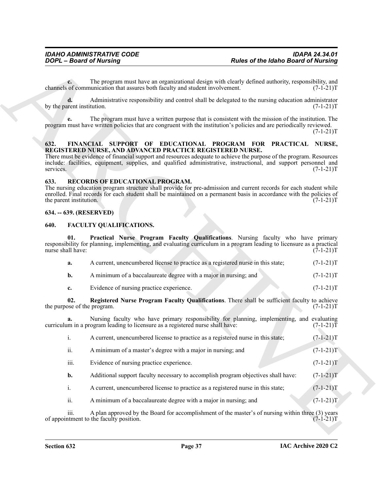#### <span id="page-36-7"></span><span id="page-36-0"></span>**632. FINANCIAL SUPPORT OF EDUCATIONAL PROGRAM FOR PRACTICAL NURSE, REGISTERED NURSE, AND ADVANCED PRACTICE REGISTERED NURSE.**

#### <span id="page-36-8"></span><span id="page-36-1"></span>**633. RECORDS OF EDUCATIONAL PROGRAM.**

#### <span id="page-36-2"></span>**634. -- 639. (RESERVED)**

#### <span id="page-36-6"></span><span id="page-36-5"></span><span id="page-36-4"></span><span id="page-36-3"></span>**640. FACULTY QUALIFICATIONS.**

|                                    | <b>DOPL</b> - Board of Nursing                                                                                                                                                                                                                                                                                                                                        | <b>Rules of the Idaho Board of Nursing</b> |                   |
|------------------------------------|-----------------------------------------------------------------------------------------------------------------------------------------------------------------------------------------------------------------------------------------------------------------------------------------------------------------------------------------------------------------------|--------------------------------------------|-------------------|
| $c_{\cdot}$                        | The program must have an organizational design with clearly defined authority, responsibility, and<br>channels of communication that assures both faculty and student involvement.                                                                                                                                                                                    |                                            | $(7-1-21)T$       |
| by the parent institution.         | Administrative responsibility and control shall be delegated to the nursing education administrator                                                                                                                                                                                                                                                                   |                                            | $(7-1-21)T$       |
|                                    | The program must have a written purpose that is consistent with the mission of the institution. The<br>program must have written policies that are congruent with the institution's policies and are periodically reviewed.                                                                                                                                           |                                            | $(7-1-21)T$       |
| 632.<br>services.                  | FINANCIAL SUPPORT OF EDUCATIONAL PROGRAM FOR PRACTICAL NURSE,<br>REGISTERED NURSE, AND ADVANCED PRACTICE REGISTERED NURSE.<br>There must be evidence of financial support and resources adequate to achieve the purpose of the program. Resources<br>include: facilities, equipment, supplies, and qualified administrative, instructional, and support personnel and |                                            | $(7-1-21)T$       |
| 633.<br>the parent institution.    | RECORDS OF EDUCATIONAL PROGRAM.<br>The nursing education program structure shall provide for pre-admission and current records for each student while<br>enrolled. Final records for each student shall be maintained on a permanent basis in accordance with the policies of                                                                                         |                                            | $(7-1-21)T$       |
| 634. -- 639. (RESERVED)            |                                                                                                                                                                                                                                                                                                                                                                       |                                            |                   |
| 640.                               | FACULTY QUALIFICATIONS.                                                                                                                                                                                                                                                                                                                                               |                                            |                   |
| 01.<br>nurse shall have:           | Practical Nurse Program Faculty Qualifications. Nursing faculty who have primary<br>responsibility for planning, implementing, and evaluating curriculum in a program leading to licensure as a practical                                                                                                                                                             |                                            | $(7-1-21)T$       |
| a.                                 | A current, unencumbered license to practice as a registered nurse in this state;                                                                                                                                                                                                                                                                                      |                                            | $(7-1-21)T$       |
| b.                                 | A minimum of a baccalaureate degree with a major in nursing; and                                                                                                                                                                                                                                                                                                      |                                            | $(7-1-21)T$       |
| c.                                 | Evidence of nursing practice experience.                                                                                                                                                                                                                                                                                                                              |                                            | $(7-1-21)T$       |
| 02.<br>the purpose of the program. | Registered Nurse Program Faculty Qualifications. There shall be sufficient faculty to achieve                                                                                                                                                                                                                                                                         |                                            | $(7-1-21)T$       |
| а.                                 | Nursing faculty who have primary responsibility for planning, implementing, and evaluating<br>curriculum in a program leading to licensure as a registered nurse shall have:                                                                                                                                                                                          |                                            | $(7-1-21)\bar{T}$ |
| i.                                 | A current, unencumbered license to practice as a registered nurse in this state;                                                                                                                                                                                                                                                                                      |                                            | $(7-1-21)T$       |
| ii.                                | A minimum of a master's degree with a major in nursing; and                                                                                                                                                                                                                                                                                                           |                                            | $(7-1-21)T$       |
| iii.                               | Evidence of nursing practice experience.                                                                                                                                                                                                                                                                                                                              |                                            | $(7-1-21)T$       |
| b.                                 | Additional support faculty necessary to accomplish program objectives shall have:                                                                                                                                                                                                                                                                                     |                                            | $(7-1-21)T$       |
| i.                                 | A current, unencumbered license to practice as a registered nurse in this state;                                                                                                                                                                                                                                                                                      |                                            | $(7-1-21)T$       |
| ii.                                | A minimum of a baccalaureate degree with a major in nursing; and                                                                                                                                                                                                                                                                                                      |                                            | $(7-1-21)T$       |
| iii.                               | A plan approved by the Board for accomplishment of the master's of nursing within three (3) years<br>of appointment to the faculty position.                                                                                                                                                                                                                          |                                            | $(7-1-21)T$       |
|                                    |                                                                                                                                                                                                                                                                                                                                                                       |                                            |                   |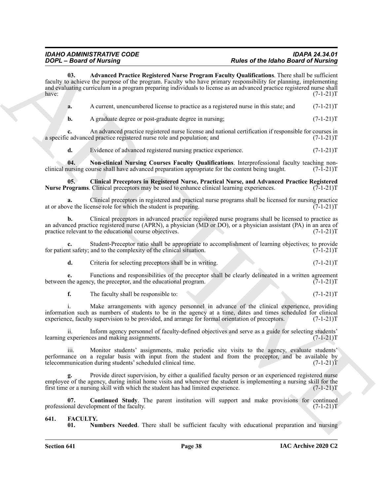## *IDAHO ADMINISTRATIVE CODE IDAPA 24.34.01*

## *Rules of the Idaho Board of Nursing*

**FOOT-Boot's of Musician** <sup>2</sup> The **Constrainer of Nutrier Street of Musician Constrainers**<br> **Constrainers**  $\frac{1}{2}$  Constrainers (Nutrier Registrers) Nutrier Registrers (Nutrier stress for Musician Properties Constrain **03. Advanced Practice Registered Nurse Program Faculty Qualifications**. There shall be sufficient faculty to achieve the purpose of the program. Faculty who have primary responsibility for planning, implementing and evaluating curriculum in a program preparing individuals to license as an advanced practice registered nurse shall have:  $(7-1-21)T$ 

<span id="page-37-3"></span>

| A current, unencumbered license to practice as a registered nurse in this state; and (7-1-21)T |  |
|------------------------------------------------------------------------------------------------|--|
|                                                                                                |  |

**b.** A graduate degree or post-graduate degree in nursing;  $(7-1-21)$ T

**c.** An advanced practice registered nurse license and national certification if responsible for courses in c advanced practice registered nurse role and population; and  $(7-1-21)$ a specific advanced practice registered nurse role and population; and

<span id="page-37-6"></span><span id="page-37-4"></span>**d.** Evidence of advanced registered nursing practice experience. (7-1-21)

**04. Non-clinical Nursing Courses Faculty Qualifications**. Interprofessional faculty teaching non-<br>nursing course shall have advanced preparation appropriate for the content being taught. (7-1-21) clinical nursing course shall have advanced preparation appropriate for the content being taught.

**05. Clinical Preceptors in Registered Nurse, Practical Nurse, and Advanced Practice Registered Nurse Programs**. Clinical preceptors may be used to enhance clinical learning experiences. (7-1-21)T

**a.** Clinical preceptors in registered and practical nurse programs shall be licensed for nursing practice ve the license role for which the student is preparing. (7-1-21) at or above the license role for which the student is preparing.

**b.** Clinical preceptors in advanced practice registered nurse programs shall be licensed to practice as an advanced practice registered nurse (APRN), a physician (MD or DO), or a physician assistant (PA) in an area of practice relevant to the educational course objectives. (7-1-21) practice relevant to the educational course objectives.

**c.** Student-Preceptor ratio shall be appropriate to accomplishment of learning objectives; to provide it safety; and to the complexity of the clinical situation. (7-1-21) for patient safety; and to the complexity of the clinical situation.

**d.** Criteria for selecting preceptors shall be in writing. (7-1-21) T

**e.** Functions and responsibilities of the preceptor shall be clearly delineated in a written agreement the agency, the preceptor, and the educational program.  $(7-1-21)$ between the agency, the preceptor, and the educational program.

**f.** The faculty shall be responsible to: (7-1-21)T

i. Make arrangements with agency personnel in advance of the clinical experience, providing information such as numbers of students to be in the agency at a time, dates and times scheduled for clinical experience, faculty supervision to be provided, and arrange for formal orientation of preceptors. (7-1-21)T experience, faculty supervision to be provided, and arrange for formal orientation of preceptors.

ii. Inform agency personnel of faculty-defined objectives and serve as a guide for selecting students' learning experiences and making assignments. (7-1-21)T

iii. Monitor students' assignments, make periodic site visits to the agency, evaluate students' performance on a regular basis with input from the student and from the preceptor, and be available by telecommunication during students' scheduled clinical time. (7-1-21)T

Provide direct supervision, by either a qualified faculty person or an experienced registered nurse employee of the agency, during initial home visits and whenever the student is implementing a nursing skill for the first time or a nursing skill with which the student has had limited experience. (7-1-21)T first time or a nursing skill with which the student has had limited experience.

**07.** Continued Study. The parent institution will support and make provisions for continued mal development of the faculty.  $(7-1-21)T$ professional development of the faculty.

## <span id="page-37-0"></span>**641. FACULTY.**

<span id="page-37-5"></span><span id="page-37-2"></span><span id="page-37-1"></span>**Numbers Needed**. There shall be sufficient faculty with educational preparation and nursing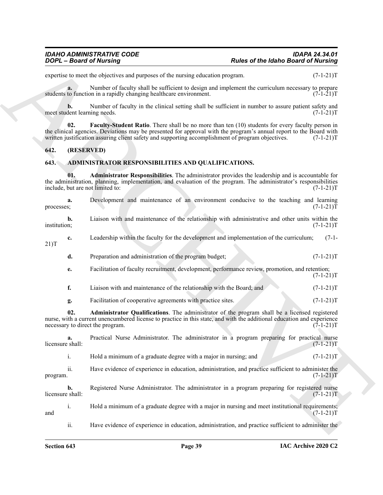expertise to meet the objectives and purposes of the nursing education program. (7-1-21)T

**a.** Number of faculty shall be sufficient to design and implement the curriculum necessary to prepare to function in a rapidly changing healthcare environment. (7-1-21) students to function in a rapidly changing healthcare environment.

**b.** Number of faculty in the clinical setting shall be sufficient in number to assure patient safety and dent learning needs. (7-1-21) meet student learning needs.

<span id="page-38-5"></span>**02. Faculty-Student Ratio**. There shall be no more than ten (10) students for every faculty person in the clinical agencies. Deviations may be presented for approval with the program's annual report to the Board with written justification assuring client safety and supporting accomplishment of program objectives. (7-1-21) T

#### <span id="page-38-0"></span>**642. (RESERVED)**

#### <span id="page-38-2"></span><span id="page-38-1"></span>**643. ADMINISTRATOR RESPONSIBILITIES AND QUALIFICATIONS.**

<span id="page-38-4"></span><span id="page-38-3"></span>**01. Administrator Responsibilities**. The administrator provides the leadership and is accountable for the administration, planning, implementation, and evaluation of the program. The administrator's responsibilities include, but are not limited to: (7-1-21)T

**Posites of the interior Posites of the interior Posites of the interior interior interior interior interior interior interior interior interior interior interior interior interior interior interior interior interior inte a.** Development and maintenance of an environment conducive to the teaching and learning  $(7-1-21)T$ processes; (7-1-21)T **b.** Liaison with and maintenance of the relationship with administrative and other units within the institution:  $(7-1-21)T$ institution; (7-1-21)T **c.** Leadership within the faculty for the development and implementation of the curriculum; (7-1- 21)T **d.** Preparation and administration of the program budget;  $(7-1-21)$ T **e.** Facilitation of faculty recruitment, development, performance review, promotion, and retention;  $(7-1-21)T$ **f.** Liaison with and maintenance of the relationship with the Board; and  $(7-1-21)$ T **g.** Facilitation of cooperative agreements with practice sites. (7-1-21)T **02. Administrator Qualifications**. The administrator of the program shall be a licensed registered nurse, with a current unencumbered license to practice in this state, and with the additional education and experience<br>(7-1-21)T necessary to direct the program. **a.** Practical Nurse Administrator. The administrator in a program preparing for practical nurse shall:  $(7-1-21)T$ licensure shall: i. Hold a minimum of a graduate degree with a major in nursing; and  $(7-1-21)$ T ii. Have evidence of experience in education, administration, and practice sufficient to administer the  $\mu$  program.  $(7-1-21)$ T **b.** Registered Nurse Administrator. The administrator in a program preparing for registered nurse licensure shall: (7-1-21)T i. Hold a minimum of a graduate degree with a major in nursing and meet institutional requirements;<br>(7-1-21)T and  $(7-1-21)$ T ii. Have evidence of experience in education, administration, and practice sufficient to administer the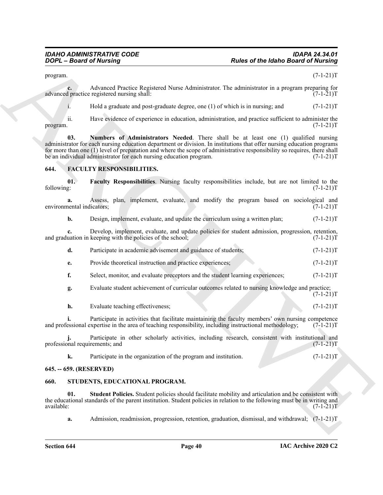$\mu$  program.  $(7-1-21)$ T

**c.** Advanced Practice Registered Nurse Administrator. The administrator in a program preparing for dependence registered nursing shall:  $(7-1-21)T$ advanced practice registered nursing shall:

<span id="page-39-3"></span>i. Hold a graduate and post-graduate degree, one  $(1)$  of which is in nursing; and  $(7-1-21)T$ 

ii. Have evidence of experience in education, administration, and practice sufficient to administer the program. (7-1-21)T

Proposes and the control of the state of the Idaho Basin'd of Niching<br>
proposes.<br>
Advantage Theoretical Seguentees Van Administrative The Administrative in a propose proposed of<br>  $\frac{1}{2}$  is the state of experiment in eq **03. Numbers of Administrators Needed**. There shall be at least one (1) qualified nursing administrator for each nursing education department or division. In institutions that offer nursing education programs for more than one (1) level of preparation and where the scope of administrative responsibility so requires, there shall be an individual administrator for each nursing education program. (7-1-21)T

#### <span id="page-39-4"></span><span id="page-39-0"></span>**644. FACULTY RESPONSIBILITIES.**

**01. Faculty Responsibilities**. Nursing faculty responsibilities include, but are not limited to the following: (7-1-21)T

**a.** Assess, plan, implement, evaluate, and modify the program based on sociological and nental indicators; (7-1-21)T environmental indicators;

**b.** Design, implement, evaluate, and update the curriculum using a written plan;  $(7-1-21)$ T

**c.** Develop, implement, evaluate, and update policies for student admission, progression, retention, uation in keeping with the policies of the school;  $(7-1-21)$ and graduation in keeping with the policies of the school;

| Participate in academic advisement and guidance of students; | $(7-1-21)T$ |
|--------------------------------------------------------------|-------------|
| Provide theoretical instruction and practice experiences;    | $(7-1-21)T$ |

**f.** Select, monitor, and evaluate preceptors and the student learning experiences;  $(7-1-21)$ T

**g.** Evaluate student achievement of curricular outcomes related to nursing knowledge and practice;  $(7-1-21)T$ 

| Evaluate teaching effectiveness:<br>h. |  | $(7-1-21)T$ |
|----------------------------------------|--|-------------|
|----------------------------------------|--|-------------|

**i.** Participate in activities that facilitate maintaining the faculty members' own nursing competence essional expertise in the area of teaching responsibility, including instructional methodology; (7-1-21) and professional expertise in the area of teaching responsibility, including instructional methodology;

Participate in other scholarly activities, including research, consistent with institutional and irements; and  $(7-1-21)$ T j. Participate in<br>professional requirements; and

<span id="page-39-5"></span>**k.** Participate in the organization of the program and institution. (7-1-21)

#### <span id="page-39-1"></span>**645. -- 659. (RESERVED)**

#### <span id="page-39-2"></span>**660. STUDENTS, EDUCATIONAL PROGRAM.**

**01. Student Policies.** Student policies should facilitate mobility and articulation and be consistent with the educational standards of the parent institution. Student policies in relation to the following must be in writing and available:  $(7-1-21)T$ available: (7-1-21)T

**a.** Admission, readmission, progression, retention, graduation, dismissal, and withdrawal; (7-1-21)T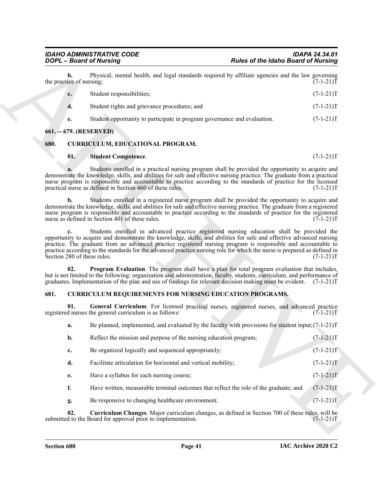| Student responsibilities;                                                | $(7-1-21)T$ |
|--------------------------------------------------------------------------|-------------|
| Student rights and grievance procedures; and                             | $(7-1-21)T$ |
| Student opportunity to participate in program governance and evaluation. | $(7-1-21)T$ |

#### <span id="page-40-0"></span>**661. -- 679. (RESERVED)**

#### <span id="page-40-1"></span>**680. CURRICULUM, EDUCATIONAL PROGRAM.**

#### <span id="page-40-8"></span><span id="page-40-6"></span>**01. Student Competence**. (7-1-21)T

#### <span id="page-40-7"></span><span id="page-40-5"></span><span id="page-40-4"></span><span id="page-40-3"></span><span id="page-40-2"></span>**681. CURRICULUM REQUIREMENTS FOR NURSING EDUCATION PROGRAMS.**

|      |                                | <b>DOPL</b> - Board of Nursing                                                                                                                                                                                                                                                                                                                                                                                                                                                               | <b>Rules of the Idaho Board of Nursing</b> |             |
|------|--------------------------------|----------------------------------------------------------------------------------------------------------------------------------------------------------------------------------------------------------------------------------------------------------------------------------------------------------------------------------------------------------------------------------------------------------------------------------------------------------------------------------------------|--------------------------------------------|-------------|
|      | b.<br>the practice of nursing; | Physical, mental health, and legal standards required by affiliate agencies and the law governing                                                                                                                                                                                                                                                                                                                                                                                            |                                            | $(7-1-21)T$ |
|      | c.                             | Student responsibilities;                                                                                                                                                                                                                                                                                                                                                                                                                                                                    |                                            | $(7-1-21)T$ |
|      | d.                             | Student rights and grievance procedures; and                                                                                                                                                                                                                                                                                                                                                                                                                                                 |                                            | $(7-1-21)T$ |
|      | e.                             | Student opportunity to participate in program governance and evaluation.                                                                                                                                                                                                                                                                                                                                                                                                                     |                                            | $(7-1-21)T$ |
|      |                                | 661. -- 679. (RESERVED)                                                                                                                                                                                                                                                                                                                                                                                                                                                                      |                                            |             |
| 680. |                                | <b>CURRICULUM, EDUCATIONAL PROGRAM.</b>                                                                                                                                                                                                                                                                                                                                                                                                                                                      |                                            |             |
|      | 01.                            | <b>Student Competence.</b>                                                                                                                                                                                                                                                                                                                                                                                                                                                                   |                                            | $(7-1-21)T$ |
|      |                                | Students enrolled in a practical nursing program shall be provided the opportunity to acquire and<br>demonstrate the knowledge, skills, and abilities for safe and effective nursing practice. The graduate from a practical<br>nurse program is responsible and accountable to practice according to the standards of practice for the licensed<br>practical nurse as defined in Section 460 of these rules.                                                                                |                                            | $(7-1-21)T$ |
|      | b.                             | Students enrolled in a registered nurse program shall be provided the opportunity to acquire and<br>demonstrate the knowledge, skills, and abilities for safe and effective nursing practice. The graduate from a registered<br>nurse program is responsible and accountable to practice according to the standards of practice for the registered<br>nurse as defined in Section 401 of these rules.                                                                                        |                                            | $(7-1-21)T$ |
|      | $c_{\cdot}$                    | Students enrolled in advanced practice registered nursing education shall be provided the<br>opportunity to acquire and demonstrate the knowledge, skills, and abilities for safe and effective advanced nursing<br>practice. The graduate from an advanced practice registered nursing program is responsible and accountable to<br>practice according to the standards for the advanced practice nursing role for which the nurse is prepared as defined in<br>Section 280 of these rules. |                                            | $(7-1-21)T$ |
|      | 02.                            | <b>Program Evaluation.</b> The program shall have a plan for total program evaluation that includes,<br>but is not limited to the following: organization and administration, faculty, students, curriculum, and performance of<br>graduates. Implementation of the plan and use of findings for relevant decision making must be evident. (7-1-21)T                                                                                                                                         |                                            |             |
| 681. |                                | <b>CURRICULUM REQUIREMENTS FOR NURSING EDUCATION PROGRAMS.</b>                                                                                                                                                                                                                                                                                                                                                                                                                               |                                            |             |
|      | 01.                            | General Curriculum. For licensed practical nurses, registered nurses, and advanced practice<br>registered nurses the general curriculum is as follows:                                                                                                                                                                                                                                                                                                                                       |                                            | $(7-1-21)T$ |
|      | a.                             | Be planned, implemented, and evaluated by the faculty with provisions for student input; $(7-1-21)$ T                                                                                                                                                                                                                                                                                                                                                                                        |                                            |             |
|      | b.                             | Reflect the mission and purpose of the nursing education program;                                                                                                                                                                                                                                                                                                                                                                                                                            |                                            | $(7-1-21)T$ |
|      | c.                             | Be organized logically and sequenced appropriately;                                                                                                                                                                                                                                                                                                                                                                                                                                          |                                            | $(7-1-21)T$ |
|      | d.                             | Facilitate articulation for horizontal and vertical mobility;                                                                                                                                                                                                                                                                                                                                                                                                                                |                                            | $(7-1-21)T$ |
|      | e.                             | Have a syllabus for each nursing course;                                                                                                                                                                                                                                                                                                                                                                                                                                                     |                                            | $(7-1-21)T$ |
|      | f.                             | Have written, measurable terminal outcomes that reflect the role of the graduate; and                                                                                                                                                                                                                                                                                                                                                                                                        |                                            | $(7-1-21)T$ |
|      | g.                             | Be responsive to changing healthcare environment.                                                                                                                                                                                                                                                                                                                                                                                                                                            |                                            | $(7-1-21)T$ |
|      | 02.                            | Curriculum Changes. Major curriculum changes, as defined in Section 700 of these rules, will be<br>submitted to the Board for approval prior to implementation.                                                                                                                                                                                                                                                                                                                              |                                            | $(7-1-21)T$ |
|      |                                |                                                                                                                                                                                                                                                                                                                                                                                                                                                                                              |                                            |             |
|      |                                |                                                                                                                                                                                                                                                                                                                                                                                                                                                                                              |                                            |             |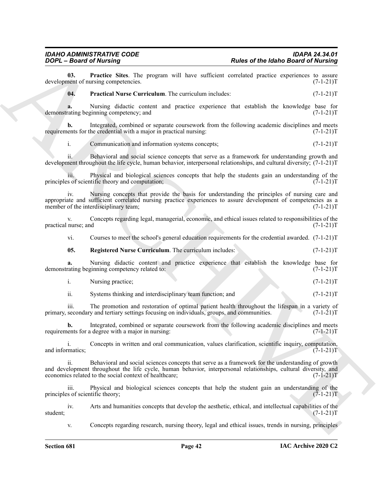#### *IDAHO ADMINISTRATIVE CODE IDAPA 24.34.01 Rules of the Idaho Board of Nursing*

**03.** Practice Sites. The program will have sufficient correlated practice experiences to assure nent of nursing competencies. (7-1-21) development of nursing competencies.

<span id="page-41-1"></span><span id="page-41-0"></span>**04. Practical Nurse Curriculum**. The curriculum includes:  $(7-1-21)T$ 

**a.** Nursing didactic content and practice experience that establish the knowledge base for rating beginning competency; and  $(7-1-21)$ demonstrating beginning competency; and

**b.** Integrated, combined or separate coursework from the following academic disciplines and meets requirements for the credential with a major in practical nursing:  $(7-1-21)$ T

i. Communication and information systems concepts;  $(7-1-21)$ T

ii. Behavioral and social science concepts that serve as a framework for understanding growth and development throughout the life cycle, human behavior, interpersonal relationships, and cultural diversity; (7-1-21)T

iii. Physical and biological sciences concepts that help the students gain an understanding of the s of scientific theory and computation;  $(7-1-21)$ principles of scientific theory and computation;

Nursing concepts that provide the basis for understanding the principles of nursing care and appropriate and sufficient correlated nursing practice experiences to assure development of competencies as a<br>member of the interdisciplinary team; (7-1-21)T member of the interdisciplinary team;

v. Concepts regarding legal, managerial, economic, and ethical issues related to responsibilities of the practical nurse; and  $(7-1-21)$ T

vi. Courses to meet the school's general education requirements for the credential awarded. (7-1-21)T

<span id="page-41-2"></span>**05.** Registered Nurse Curriculum. The curriculum includes:  $(7-1-21)T$ 

**a.** Nursing didactic content and practice experience that establish the knowledge base for rating beginning competency related to:  $(7-1-21)$ demonstrating beginning competency related to:

i. Nursing practice; (7-1-21)T

ii. Systems thinking and interdisciplinary team function; and  $(7-1-21)$ T

iii. The promotion and restoration of optimal patient health throughout the lifespan in a variety of secondary and tertiary settings focusing on individuals, groups, and communities. (7-1-21) primary, secondary and tertiary settings focusing on individuals, groups, and communities.

**b.** Integrated, combined or separate coursework from the following academic disciplines and meets requirements for a degree with a major in nursing: (7-1-21)T

i. Concepts in written and oral communication, values clarification, scientific inquiry, computation, matics;  $(7-1-21)$ and informatics;

**Poster of the interior State. The proposa wall have sullivent of the Interior State. The proposal wall have sullivent and control and product product**  $P(X|X)$ **<br>
<b>A** control and the subset of the control and the control and ii. Behavioral and social sciences concepts that serve as a framework for the understanding of growth and development throughout the life cycle, human behavior, interpersonal relationships, cultural diversity, and economics related to the social context of healthcare; (7-1-21)T

iii. Physical and biological sciences concepts that help the student gain an understanding of the principles of scientific theory; (7-1-21)T

iv. Arts and humanities concepts that develop the aesthetic, ethical, and intellectual capabilities of the  $(7-1-21)T$ student; (7-1-21)T

v. Concepts regarding research, nursing theory, legal and ethical issues, trends in nursing, principles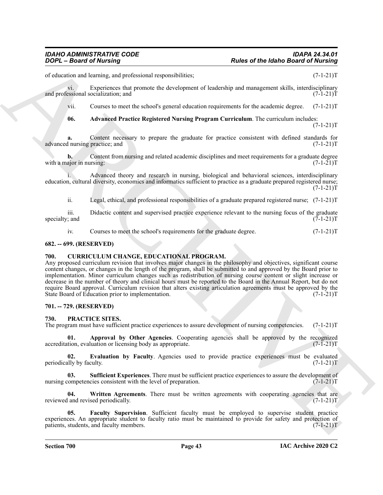of education and learning, and professional responsibilities; (7-1-21)T

vi. Experiences that promote the development of leadership and management skills, interdisciplinary<br>essional socialization: and (7-1-21)T and professional socialization; and

vii. Courses to meet the school's general education requirements for the academic degree. (7-1-21)T

<span id="page-42-5"></span>**06. Advanced Practice Registered Nursing Program Curriculum**. The curriculum includes:  $(7-1-21)T$ 

**a.** Content necessary to prepare the graduate for practice consistent with defined standards for l nursing practice; and  $(7-1-21)$ T advanced nursing practice; and

**b.** Content from nursing and related academic disciplines and meet requirements for a graduate degree with a major in nursing: (7-1-21) T

i. Advanced theory and research in nursing, biological and behavioral sciences, interdisciplinary education, cultural diversity, economics and informatics sufficient to practice as a graduate prepared registered nurse;  $(7-1-21)T$ 

ii. Legal, ethical, and professional responsibilities of a graduate prepared registered nurse; (7-1-21)T

iii. Didactic content and supervised practice experience relevant to the nursing focus of the graduate  $(7-1-21)$ T specialty; and

<span id="page-42-4"></span>iv. Courses to meet the school's requirements for the graduate degree. (7-1-21)T

#### <span id="page-42-0"></span>**682. -- 699. (RESERVED)**

#### <span id="page-42-1"></span>**700. CURRICULUM CHANGE, EDUCATIONAL PROGRAM.**

**Pades of the Interior Beative Constrainers**<br> **Pades of the Interior Beative Schemes** (Constrainers)<br>
Action and the particular constrainers of the Interior Constrainers (Constrainers)<br>  $\frac{1}{2}$  (Constrainers and the sch Any proposed curriculum revision that involves major changes in the philosophy and objectives, significant course content changes, or changes in the length of the program, shall be submitted to and approved by the Board prior to implementation. Minor curriculum changes such as redistribution of nursing course content or slight increase or decrease in the number of theory and clinical hours must be reported to the Board in the Annual Report, but do not require Board approval. Curriculum revision that alters existing articulation agreements must be approved by the State Board of Education prior to implementation. (7-1-21) State Board of Education prior to implementation.

#### <span id="page-42-2"></span>**701. -- 729. (RESERVED)**

#### <span id="page-42-6"></span><span id="page-42-3"></span>**730. PRACTICE SITES.**

The program must have sufficient practice experiences to assure development of nursing competencies. (7-1-21)T

<span id="page-42-7"></span>**01. Approval by Other Agencies**. Cooperating agencies shall be approved by the recognized tion, evaluation or licensing body as appropriate. (7-1-21) accreditation, evaluation or licensing body as appropriate.

<span id="page-42-8"></span>**02. Evaluation by Faculty**. Agencies used to provide practice experiences must be evaluated lily by faculty. (7-1-21) periodically by faculty.

<span id="page-42-10"></span>**03.** Sufficient Experiences. There must be sufficient practice experiences to assure the development of competencies consistent with the level of preparation. (7-1-21) nursing competencies consistent with the level of preparation.

<span id="page-42-11"></span>**04.** Written Agreements. There must be written agreements with cooperating agencies that are l and revised periodically. (7-1-21) reviewed and revised periodically.

<span id="page-42-9"></span>**05. Faculty Supervision**. Sufficient faculty must be employed to supervise student practice experiences. An appropriate student to faculty ratio must be maintained to provide for safety and protection of patients, students, and faculty members. (7-1-21) patients, students, and faculty members.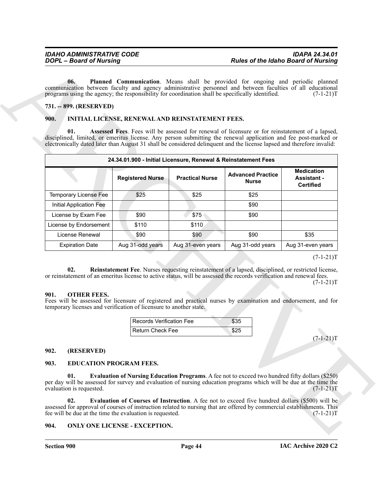#### <span id="page-43-12"></span><span id="page-43-0"></span>**731. -- 899. (RESERVED)**

#### <span id="page-43-9"></span><span id="page-43-1"></span>**900. INITIAL LICENSE, RENEWAL AND REINSTATEMENT FEES.**

|                                                                                                                                                                                                                                                                                                                                                                                                                                                                                                              |                                                                                                                       |                                                                |                                                                                                                                                                                    | <b>Rules of the Idaho Board of Nursing</b>                  |
|--------------------------------------------------------------------------------------------------------------------------------------------------------------------------------------------------------------------------------------------------------------------------------------------------------------------------------------------------------------------------------------------------------------------------------------------------------------------------------------------------------------|-----------------------------------------------------------------------------------------------------------------------|----------------------------------------------------------------|------------------------------------------------------------------------------------------------------------------------------------------------------------------------------------|-------------------------------------------------------------|
| 06.<br>communication between faculty and agency administrative personnel and between faculties of all educational<br>programs using the agency; the responsibility for coordination shall be specifically identified.<br>731. -- 899. (RESERVED)<br>900.<br>01.<br>disciplined, limited, or emeritus license. Any person submitting the renewal application and fee post-marked or<br>electronically dated later than August 31 shall be considered delinquent and the license lapsed and therefore invalid: |                                                                                                                       | INITIAL LICENSE, RENEWAL AND REINSTATEMENT FEES.               | Planned Communication. Means shall be provided for ongoing and periodic planned<br>Assessed Fees. Fees will be assessed for renewal of licensure or for reinstatement of a lapsed, | $(7-1-21)T$                                                 |
|                                                                                                                                                                                                                                                                                                                                                                                                                                                                                                              |                                                                                                                       | 24.34.01.900 - Initial Licensure, Renewal & Reinstatement Fees |                                                                                                                                                                                    |                                                             |
|                                                                                                                                                                                                                                                                                                                                                                                                                                                                                                              | <b>Registered Nurse</b>                                                                                               | <b>Practical Nurse</b>                                         | <b>Advanced Practice</b><br><b>Nurse</b>                                                                                                                                           | <b>Medication</b><br><b>Assistant -</b><br><b>Certified</b> |
| <b>Temporary License Fee</b>                                                                                                                                                                                                                                                                                                                                                                                                                                                                                 | \$25                                                                                                                  | \$25                                                           | \$25                                                                                                                                                                               |                                                             |
| Initial Application Fee                                                                                                                                                                                                                                                                                                                                                                                                                                                                                      |                                                                                                                       |                                                                | \$90                                                                                                                                                                               |                                                             |
| License by Exam Fee                                                                                                                                                                                                                                                                                                                                                                                                                                                                                          | \$90                                                                                                                  | \$75                                                           | \$90                                                                                                                                                                               |                                                             |
| License by Endorsement                                                                                                                                                                                                                                                                                                                                                                                                                                                                                       | \$110                                                                                                                 | \$110                                                          |                                                                                                                                                                                    |                                                             |
| License Renewal                                                                                                                                                                                                                                                                                                                                                                                                                                                                                              | \$90                                                                                                                  | \$90                                                           | \$90                                                                                                                                                                               | \$35                                                        |
| <b>Expiration Date</b>                                                                                                                                                                                                                                                                                                                                                                                                                                                                                       | Aug 31-odd years                                                                                                      | Aug 31-even years                                              | Aug 31-odd years                                                                                                                                                                   | Aug 31-even years                                           |
| 02.                                                                                                                                                                                                                                                                                                                                                                                                                                                                                                          | or reinstatement of an emeritus license to active status, will be assessed the records verification and renewal fees. |                                                                | Reinstatement Fee. Nurses requesting reinstatement of a lapsed, disciplined, or restricted license,                                                                                |                                                             |
| <b>OTHER FEES.</b><br>901.<br>Fees will be assessed for licensure of registered and practical nurses by examination and endorsement, and for<br>temporary licenses and verification of licensure to another state.                                                                                                                                                                                                                                                                                           | <b>Records Verification Fee</b>                                                                                       |                                                                | \$35                                                                                                                                                                               | $(7-1-21)T$                                                 |
|                                                                                                                                                                                                                                                                                                                                                                                                                                                                                                              | <b>Return Check Fee</b>                                                                                               |                                                                | \$25                                                                                                                                                                               |                                                             |
| 902.<br>(RESERVED)<br>903.<br><b>EDUCATION PROGRAM FEES.</b>                                                                                                                                                                                                                                                                                                                                                                                                                                                 |                                                                                                                       |                                                                |                                                                                                                                                                                    | $(7-1-21)T$                                                 |

#### <span id="page-43-13"></span><span id="page-43-11"></span><span id="page-43-2"></span>**901. OTHER FEES.**

| l Records Verification Fee | \$35 |
|----------------------------|------|
| l Return Check Feel        |      |

#### <span id="page-43-3"></span>**902. (RESERVED)**

#### <span id="page-43-8"></span><span id="page-43-6"></span><span id="page-43-4"></span>**903. EDUCATION PROGRAM FEES.**

#### <span id="page-43-10"></span><span id="page-43-7"></span><span id="page-43-5"></span>**904. ONLY ONE LICENSE - EXCEPTION.**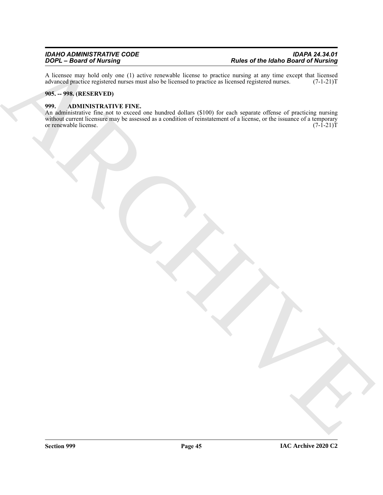A licensee may hold only one (1) active renewable license to practice nursing at any time except that licensed advanced practice registered nurses must also be licensed to practice as licensed registered nurses. (7-1-21)T advanced practice registered nurses must also be licensed to practice as licensed registered nurses.

#### <span id="page-44-0"></span>**905. -- 998. (RESERVED)**

#### <span id="page-44-2"></span><span id="page-44-1"></span>**999. ADMINISTRATIVE FINE.**

ARCHIVE An administrative fine not to exceed one hundred dollars (\$100) for each separate offense of practicing nursing without current licensure may be assessed as a condition of reinstatement of a license, or the issuance of a temporary<br>or renewable license. (7-1-21)T or renewable license.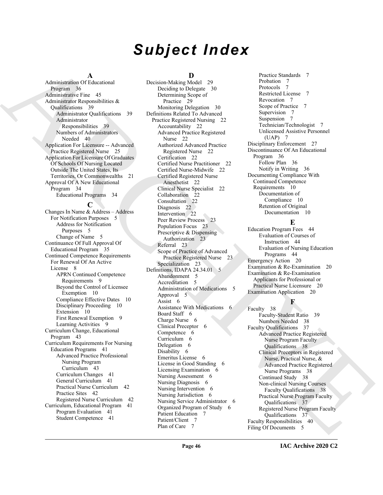# *Subject Index*

#### **A**

Administration Of Educational Program 36 Administrative Fine 45 Administrator Responsibilities & Qualifications 39 Administrator Qualifications 39 Administrator Responsibilities 39 Numbers of Administrators Needed 40 Application For Licensure -- Advanced Practice Registered Nurse 25 Application For Licensure Of Graduates Of Schools Of Nursing Located Outside The United States, Its Territories, Or Commonwealths 21 Approval Of A New Educational Program 34 Educational Programs 34

#### **C**

Changes In Name & Address – Address For Notification Purposes 5 Address for Notification Purposes 5 Change of Name 5 Continuance Of Full Approval Of Educational Program 35 Continued Competence Requirements For Renewal Of An Active License 8 APRN Continued Competence Requirements 9 Beyond the Control of Licensee Exemption 10 Compliance Effective Dates 10 Disciplinary Proceeding 10 Extension 10 First Renewal Exemption 9 Learning Activities 9 Curriculum Change, Educational Program 43 Curriculum Requirements For Nursing Education Programs 41 Advanced Practice Professional Nursing Program Curriculum 43 Curriculum Changes 41 General Curriculum 41 Practical Nurse Curriculum 42 Practice Sites 42 Registered Nurse Curriculum 42 Curriculum, Educational Program 41 Program Evaluation 41 Student Competence 41

### **D**

[A](#page-35-4)dministration [C](#page-21-9)hristma and the method in the spin of the spin of the spin of the spin of the spin of the spin of the spin of the spin of the spin of the spin of the spin of the spin of the spin of the spin of the spin of Decision-Making Model 29 Deciding to Delegate 30 Determining Scope of Practice 29 Monitoring Delegation 30 Definitions Related To Advanced Practice Registered Nursing 22 Accountability 22 Advanced Practice Registered Nurse 22 Authorized Advanced Practice Registered Nurse 22 Certification 22 Certified Nurse Practitioner 22 Certified Nurse-Midwife 22 Certified Registered Nurse Anesthetist 22 Clinical Nurse Specialist 22 Collaboration 22 Consultation 22 Diagnosis 22 Intervention 22 Peer Review Process 23 Population Focus 23 Prescriptive & Dispensing Authorization 23 Referral 23 Scope of Practice of Advanced Practice Registered Nurse 23 Specialization 23 Definitions, IDAPA 24.34.01 5 Abandonment 5 Accreditation 5 Administration of Medications 5 Approval 5 Assist 6 Assistance With Medications 6 Board Staff 6 Charge Nurse 6 Clinical Preceptor 6 Competence 6 Curriculum 6 Delegation 6 Disability 6 Emeritus License 6 License in Good Standing 6 Licensing Examination 6 Nursing Assessment 6 Nursing Diagnosis 6 Nursing Intervention 6 Nursing Jurisdiction 6 Nursing Service Administrator 6 Organized Program of Study 6 Patient Education 7 Patient/Client 7 Plan of Care 7

Practice Standards 7 Probation 7 Protocols 7 Restricted License 7 Revocation 7 Scope of Practice 7 Supervision 7 Suspension 7 Technician/Technologist 7 Unlicensed Assistive Personnel (UAP) 7 Disciplinary Enforcement 27 Discontinuance Of An Educational Program 36 Follow Plan 36 Notify in Writing 36 Documenting Compliance With Continued Competence Requirements 10 Documentation of Compliance 10 Retention of Original Documentation 10

#### **E**

Education Program Fees 44 Evaluation of Courses of Instruction 44 Evaluation of Nursing Education Programs 44 Emergency Action 20 Examination & Re-Examination 20 Examination & Re-Examination Applicants for Professional or Practical Nurse Licensure 20 Examination Application 20

### **F**

Faculty 38 Faculty-Student Ratio 39 Numbers Needed 38 Faculty Qualifications 37 Advanced Practice Registered Nurse Program Faculty Qualifications 38 Clinical Preceptors in Registered Nurse, Practical Nurse, & Advanced Practice Registered Nurse Programs 38 Continued Study 38 Non-clinical Nursing Courses Faculty Qualifications 38 Practical Nurse Program Faculty Qualifications 37 Registered Nurse Program Faculty Qualifications 37 Faculty Responsibilities 40 Filing Of Documents 5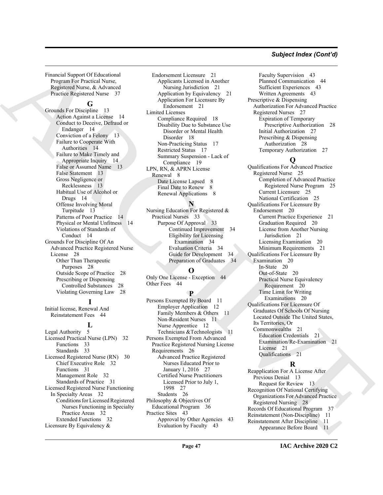#### *Subject Index (Cont'd)*

Financial Support Of Educational Program For Practical Nurse, Registered Nurse, & Advanced Practice Registered Nurse 37

#### **G**

Grounds For Discipline 13 Action Against a License 14 Conduct to Deceive, Defraud or Endanger 14 Conviction of a Felony 13 Failure to Cooperate With Authorities 14 Failure to Make Timely and Appropriate Inquiry 14 False or Assumed Name 13 False Statement 13 Gross Negligence or Recklessness 13 Habitual Use of Alcohol or Drugs 14 Offense Involving Moral Turpitude 13 Patterns of Poor Practice 14 Physical or Mental Unfitness 14 Violations of Standards of Conduct 14 Grounds For Discipline Of An Advanced Practice Registered Nurse License 28 Other Than Therapeutic Purposes 28 Outside Scope of Practice 28 Prescribing or Dispensing Controlled Substances 28 Violating Governing Law 28

### **I**

Initial license, Renewal And Reinstatement Fees 44

#### **L**

Legal Authority 5 Licensed Practical Nurse (LPN) 32 Functions 33 Standards 33 Licensed Registered Nurse (RN) 30 Chief Executive Role 32 Functions 31 Management Role 32 Standards of Practice 31 Licensed Registered Nurse Functioning In Specialty Areas 32 Conditions for Licensed Registered Nurses Functioning in Specialty Practice Areas 32 Extended Functions 32 Licensure By Equivalency &

Endorsement Licensure 21 Applicants Licensed in Another Nursing Jurisdiction 21 Application by Equivalency 21 Application For Licensure By Endorsement 21 Limited Licenses Compliance Required 18 Disability Due to Substance Use Disorder or Mental Health Disorder 18 Non-Practicing Status 17 Restricted Status 17 Summary Suspension - Lack of Compliance 19 LPN, RN, & APRN License Renewal 8 Date License Lapsed 8 Final Date to Renew 8 Renewal Applications 8

#### **N**

Nursing Education For Registered & Practical Nurses 33 Purpose Of Approval 33 Continued Improvement 34 Eligibility for Licensing Examination 34 Evaluation Criteria 34 Guide for Development 34 Preparation of Graduates 34

#### **O**

Only One License - Exception 44 Other Fees 44

### **P**

Persons Exempted By Board 11 Employer Application 12 Family Members & Others 11 Non-Resident Nurses 11 Nurse Apprentice 12 Technicians &Technologists 11 Persons Exempted From Advanced Practice Registered Nursing License Requirements 26 Advanced Practice Registered Nurses Educated Prior to January 1, 2016 27 Certified Nurse Practitioners Licensed Prior to July 1, 1998 27 Students 26 Philosophy & Objectives Of Educational Program 36 Practice Sites 43 Approval by Other Agencies 43 Evaluation by Faculty 43

Faculty Supervision 43 Planned Communication 44 Sufficient Experiences 43 Written Agreements 43 Prescriptive & Dispensing Authorization For Advanced Practice Registered Nurses 27 Expiration of Temporary Prescriptive Authorization 28 Initial Authorization 27 Prescribing & Dispensing Authorization 28 Temporary Authorization 27

#### **Q**

[A](#page-36-7)[R](#page-13-2)[C](#page-7-4)[H](#page-33-4)[IV](#page-20-12)[E](#page-27-12) Qualifications For Advanced Practice Registered Nurse 25 Completion of Advanced Practice Registered Nurse Program 25 Current Licensure 25 National Certification 25 Qualifications For Licensure By Endorsement 20 Current Practice Experience 21 Graduation Required 20 License from Another Nursing Jurisdiction 21 Licensing Examination 20 Minimum Requirements 21 Qualifications For Licensure By Examination 20 In-State 20 Out-of-State 20 Practical Nurse Equivalency Requirement 20 Time Limit for Writing Examinations 20 Qualifications For Licensure Of Graduates Of Schools Of Nursing Located Outside The United States, Its Territories, Or Commonwealths 21 Education Credentials 21 Examination/Re-Examination 21 License 21 Qualifications 21

#### **R**

Reapplication For A License After Previous Denial 13 Request for Review 13 Recognition Of National Certifying Organizations For Advanced Practice Registered Nursing 28 Records Of Educational Program 37 Reinstatement (Non-Discipline) 11 Reinstatement After Discipline 11 Appearance Before Board 11